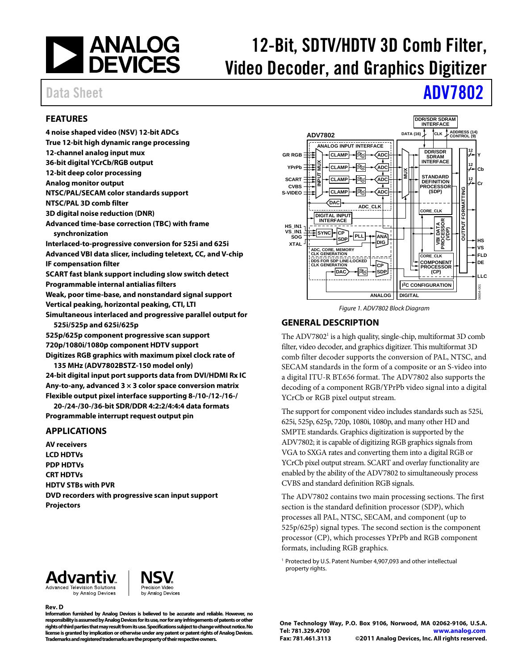

# 12-Bit, SDTV/HDTV 3D Comb Filter, Video Decoder, and Graphics Digitizer

# Data Sheet **[ADV7802](http://www.analog.com/ADV7802)**

### <span id="page-0-1"></span>**FEATURES**

**4 noise shaped video (NSV) 12-bit ADCs True 12-bit high dynamic range processing 12-channel analog input mux 36-bit digital YCrCb/RGB output 12-bit deep color processing Analog monitor output NTSC/PAL/SECAM color standards support NTSC/PAL 3D comb filter 3D digital noise reduction (DNR) Advanced time-base correction (TBC) with frame synchronization Interlaced-to-progressive conversion for 525i and 625i Advanced VBI data slicer, including teletext, CC, and V-chip IF compensation filter SCART fast blank support including slow switch detect Programmable internal antialias filters Weak, poor time-base, and nonstandard signal support Vertical peaking, horizontal peaking, CTI, LTI Simultaneous interlaced and progressive parallel output for 525i/525p and 625i/625p 525p/625p component progressive scan support 720p/1080i/1080p component HDTV support Digitizes RGB graphics with maximum pixel clock rate of 135 MHz (ADV7802BSTZ-150 model only)** 

**24-bit digital input port supports data from DVI/HDMI Rx IC Any-to-any, advanced 3 × 3 color space conversion matrix Flexible output pixel interface supporting 8-/10-/12-/16-/** 

**20-/24-/30-/36-bit SDR/DDR 4:2:2/4:4:4 data formats Programmable interrupt request output pin** 

#### <span id="page-0-2"></span>**APPLICATIONS**

**AV receivers LCD HDTVs PDP HDTVs CRT HDTVs HDTV STBs with PVR DVD recorders with progressive scan input support Projectors** 



Figure 1. ADV7802 Block Diagram

#### <span id="page-0-3"></span>**GENERAL DESCRIPTION**

The ADV7802<sup>[1](#page-0-0)</sup> is a high quality, single-chip, multiformat 3D comb filter, video decoder, and graphics digitizer. This multiformat 3D comb filter decoder supports the conversion of PAL, NTSC, and SECAM standards in the form of a composite or an S-video into a digital ITU-R BT.656 format. The ADV7802 also supports the decoding of a component RGB/YPrPb video signal into a digital YCrCb or RGB pixel output stream.

The support for component video includes standards such as 525i, 625i, 525p, 625p, 720p, 1080i, 1080p, and many other HD and SMPTE standards. Graphics digitization is supported by the ADV7802; it is capable of digitizing RGB graphics signals from VGA to SXGA rates and converting them into a digital RGB or YCrCb pixel output stream. SCART and overlay functionality are enabled by the ability of the ADV7802 to simultaneously process CVBS and standard definition RGB signals.

The ADV7802 contains two main processing sections. The first section is the standard definition processor (SDP), which processes all PAL, NTSC, SECAM, and component (up to 525p/625p) signal types. The second section is the component processor (CP), which processes YPrPb and RGB component formats, including RGB graphics.

<sup>1</sup> Protected by U.S. Patent Number 4,907,093 and other intellectual property rights.

<span id="page-0-0"></span>

**Rev. D**



**Information furnished by Analog Devices is believed to be accurate and reliable. However, no responsibility is assumed by Analog Devices for its use, nor for any infringements of patents or other rights of third parties that may result from its use. Specifications subject to change without notice. No license is granted by implication or otherwise under any patent or patent rights of Analog Devices. Trademarks and registered trademarks are the property of their respective owners.**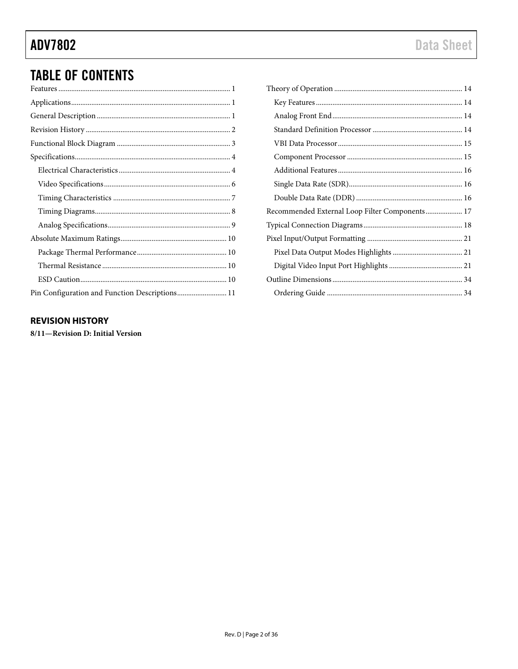# **TABLE OF CONTENTS**

| Pin Configuration and Function Descriptions 11 |
|------------------------------------------------|

| Recommended External Loop Filter Components 17 |  |
|------------------------------------------------|--|
|                                                |  |
|                                                |  |
|                                                |  |
|                                                |  |
|                                                |  |
|                                                |  |
|                                                |  |

### <span id="page-1-0"></span>**REVISION HISTORY**

8/11-Revision D: Initial Version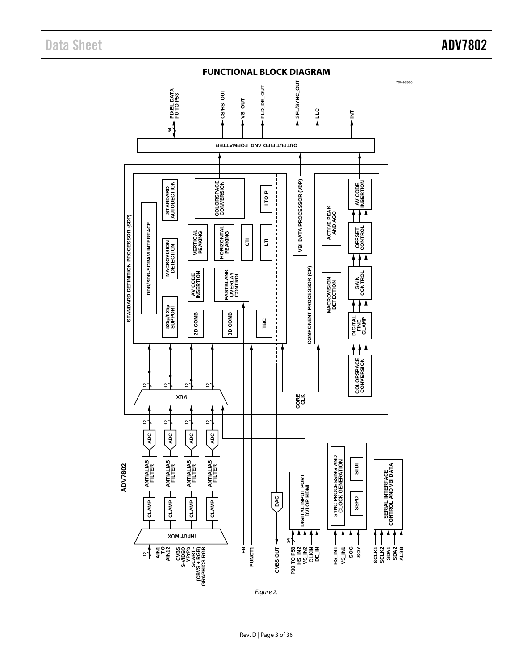<span id="page-2-0"></span>

Figure 2.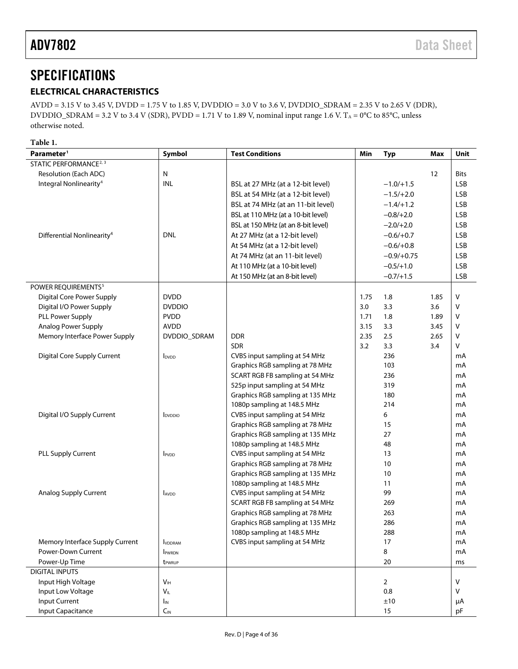## <span id="page-3-0"></span>**SPECIFICATIONS**

### <span id="page-3-1"></span>**ELECTRICAL CHARACTERISTICS**

AVDD = 3.15 V to 3.45 V, DVDD = 1.75 V to 1.85 V, DVDDIO = 3.0 V to 3.6 V, DVDDIO\_SDRAM = 2.35 V to 2.65 V (DDR), DVDDIO\_SDRAM = 3.2 V to 3.4 V (SDR), PVDD = 1.71 V to 1.89 V, nominal input range 1.6 V. T<sub>A</sub> = 0°C to 85°C, unless otherwise noted.

**Table 1.** 

| Parameter <sup>1</sup>                 | Symbol                     | <b>Test Conditions</b>             | Min  | <b>Typ</b>     | Max  | Unit       |
|----------------------------------------|----------------------------|------------------------------------|------|----------------|------|------------|
| STATIC PERFORMANCE <sup>2, 3</sup>     |                            |                                    |      |                |      |            |
| Resolution (Each ADC)                  | $\mathsf{N}$               |                                    |      |                | 12   | Bits       |
| Integral Nonlinearity <sup>4</sup>     | INL                        | BSL at 27 MHz (at a 12-bit level)  |      | $-1.0/+1.5$    |      | <b>LSB</b> |
|                                        |                            | BSL at 54 MHz (at a 12-bit level)  |      | $-1.5/+2.0$    |      | <b>LSB</b> |
|                                        |                            | BSL at 74 MHz (at an 11-bit level) |      | $-1.4/+1.2$    |      | <b>LSB</b> |
|                                        |                            | BSL at 110 MHz (at a 10-bit level) |      | $-0.8/+2.0$    |      | <b>LSB</b> |
|                                        |                            | BSL at 150 MHz (at an 8-bit level) |      | $-2.0/+2.0$    |      | <b>LSB</b> |
| Differential Nonlinearity <sup>4</sup> | <b>DNL</b>                 | At 27 MHz (at a 12-bit level)      |      | $-0.6/+0.7$    |      | <b>LSB</b> |
|                                        |                            | At 54 MHz (at a 12-bit level)      |      | $-0.6/+0.8$    |      | <b>LSB</b> |
|                                        |                            | At 74 MHz (at an 11-bit level)     |      | $-0.9/+0.75$   |      | <b>LSB</b> |
|                                        |                            | At 110 MHz (at a 10-bit level)     |      | $-0.5/+1.0$    |      | <b>LSB</b> |
|                                        |                            | At 150 MHz (at an 8-bit level)     |      | $-0.7/+1.5$    |      | <b>LSB</b> |
| POWER REQUIREMENTS <sup>5</sup>        |                            |                                    |      |                |      |            |
| Digital Core Power Supply              | <b>DVDD</b>                |                                    | 1.75 | 1.8            | 1.85 | v          |
| Digital I/O Power Supply               | <b>DVDDIO</b>              |                                    | 3.0  | 3.3            | 3.6  | v          |
| PLL Power Supply                       | <b>PVDD</b>                |                                    | 1.71 | 1.8            | 1.89 | v          |
| Analog Power Supply                    | <b>AVDD</b>                |                                    | 3.15 | 3.3            | 3.45 | v          |
| Memory Interface Power Supply          | DVDDIO_SDRAM               | <b>DDR</b>                         | 2.35 | 2.5            | 2.65 | v          |
|                                        |                            | <b>SDR</b>                         | 3.2  | 3.3            | 3.4  | v          |
| <b>Digital Core Supply Current</b>     | l <sub>DVDD</sub>          | CVBS input sampling at 54 MHz      |      | 236            |      | mA         |
|                                        |                            | Graphics RGB sampling at 78 MHz    |      | 103            |      | mA         |
|                                        |                            | SCART RGB FB sampling at 54 MHz    |      | 236            |      | mA         |
|                                        |                            | 525p input sampling at 54 MHz      |      | 319            |      | mA         |
|                                        |                            | Graphics RGB sampling at 135 MHz   |      | 180            |      | mA         |
|                                        |                            | 1080p sampling at 148.5 MHz        |      | 214            |      | mA         |
| Digital I/O Supply Current             | <b>I</b> <sub>DVDDIO</sub> | CVBS input sampling at 54 MHz      |      | 6              |      | mA         |
|                                        |                            | Graphics RGB sampling at 78 MHz    |      | 15             |      | mA         |
|                                        |                            | Graphics RGB sampling at 135 MHz   |      | 27             |      | mA         |
|                                        |                            | 1080p sampling at 148.5 MHz        |      | 48             |      | mA         |
| PLL Supply Current                     | <b>I</b> <sub>PVDD</sub>   | CVBS input sampling at 54 MHz      |      | 13             |      | mA         |
|                                        |                            | Graphics RGB sampling at 78 MHz    |      | 10             |      | mA         |
|                                        |                            | Graphics RGB sampling at 135 MHz   |      | 10             |      | mA         |
|                                        |                            | 1080p sampling at 148.5 MHz        |      | 11             |      | mA         |
| Analog Supply Current                  | AVDD                       | CVBS input sampling at 54 MHz      |      | 99             |      | mA         |
|                                        |                            | SCART RGB FB sampling at 54 MHz    |      | 269            |      | mA         |
|                                        |                            | Graphics RGB sampling at 78 MHz    |      | 263            |      | mA         |
|                                        |                            | Graphics RGB sampling at 135 MHz   |      | 286            |      | mA         |
|                                        |                            | 1080p sampling at 148.5 MHz        |      | 288            |      | mA         |
| Memory Interface Supply Current        | <b>IVDDRAM</b>             | CVBS input sampling at 54 MHz      |      | 17             |      | mA         |
| Power-Down Current                     | PWRDN                      |                                    |      | 8              |      | mA         |
| Power-Up Time                          | t <sub>PWRUP</sub>         |                                    |      | 20             |      | ms         |
| <b>DIGITAL INPUTS</b>                  |                            |                                    |      |                |      |            |
| Input High Voltage                     | V <sub>IH</sub>            |                                    |      | $\overline{2}$ |      | v          |
| Input Low Voltage                      | $V_{IL}$                   |                                    |      | 0.8            |      | v          |
| Input Current                          | $I_{\text{IN}}$            |                                    |      | ±10            |      | μA         |
| Input Capacitance                      | $C_{\text{IN}}$            |                                    |      | 15             |      | pF         |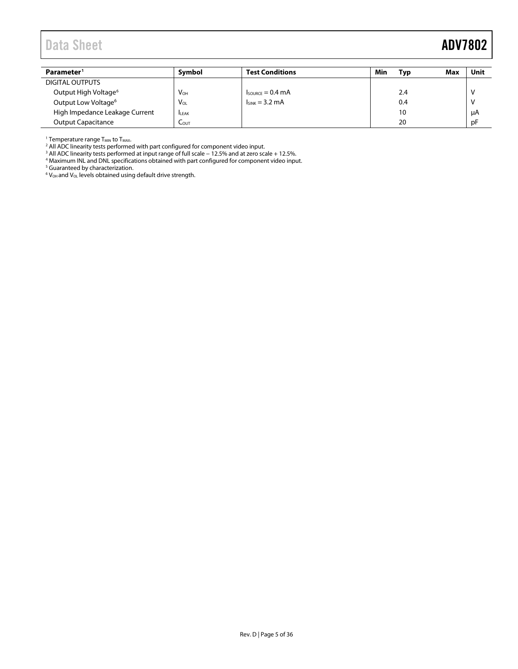| Parameter <sup>1</sup>           | Symbol          | <b>Test Conditions</b>               | Min | Max<br>Typ | Unit |
|----------------------------------|-----------------|--------------------------------------|-----|------------|------|
| DIGITAL OUTPUTS                  |                 |                                      |     |            |      |
| Output High Voltage <sup>6</sup> | V <sub>OH</sub> | $I_{\text{SOWRCF}} = 0.4 \text{ mA}$ |     | 2.4        |      |
| Output Low Voltage <sup>6</sup>  | $V_{OL}$        | $I_{SINK}$ = 3.2 mA                  |     | 0.4        |      |
| High Impedance Leakage Current   | <b>ILEAK</b>    |                                      |     | 10         | μA   |
| <b>Output Capacitance</b>        | LOUT            |                                      |     | 20         | pF   |

<span id="page-4-0"></span><sup>1</sup> Temperature range T<sub>MIN</sub> to T<sub>MAX</sub>.

<span id="page-4-1"></span><sup>2</sup> All ADC linearity tests performed with part configured for component video input.

<span id="page-4-2"></span><sup>3</sup> All ADC linearity tests performed at input range of full scale − 12.5% and at zero scale + 12.5%.<br><sup>4</sup> Maximum INL and DNL specifications obtained with part configured for component video input.

<span id="page-4-4"></span><span id="page-4-3"></span>

<sup>5</sup> Guaranteed by characterization.<br><sup>6</sup> V<sub>oH</sub> and V<sub>oL</sub> levels obtained using default drive strength.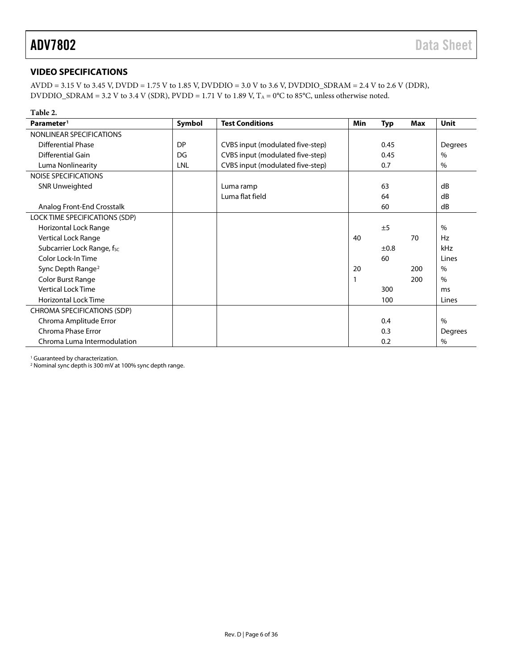### <span id="page-5-0"></span>**VIDEO SPECIFICATIONS**

AVDD = 3.15 V to 3.45 V, DVDD = 1.75 V to 1.85 V, DVDDIO = 3.0 V to 3.6 V, DVDDIO\_SDRAM = 2.4 V to 2.6 V (DDR), DVDDIO\_SDRAM = 3.2 V to 3.4 V (SDR), PVDD = 1.71 V to 1.89 V,  $T_A = 0^\circ \text{C}$  to 85°C, unless otherwise noted.

| Table 2.                       |           |                                  |     |            |     |               |
|--------------------------------|-----------|----------------------------------|-----|------------|-----|---------------|
| Parameter <sup>1</sup>         | Symbol    | <b>Test Conditions</b>           | Min | <b>Typ</b> | Max | Unit          |
| NONLINEAR SPECIFICATIONS       |           |                                  |     |            |     |               |
| <b>Differential Phase</b>      | <b>DP</b> | CVBS input (modulated five-step) |     | 0.45       |     | Degrees       |
| Differential Gain              | DG        | CVBS input (modulated five-step) |     | 0.45       |     | $\%$          |
| Luma Nonlinearity              | LNL       | CVBS input (modulated five-step) |     | 0.7        |     | $\%$          |
| <b>NOISE SPECIFICATIONS</b>    |           |                                  |     |            |     |               |
| <b>SNR Unweighted</b>          |           | Luma ramp                        |     | 63         |     | dB            |
|                                |           | Luma flat field                  |     | 64         |     | dB            |
| Analog Front-End Crosstalk     |           |                                  |     | 60         |     | dB            |
| LOCK TIME SPECIFICATIONS (SDP) |           |                                  |     |            |     |               |
| Horizontal Lock Range          |           |                                  |     | ±5         |     | $\frac{0}{0}$ |
| Vertical Lock Range            |           |                                  | 40  |            | 70  | Hz            |
| Subcarrier Lock Range, fsc     |           |                                  |     | ±0.8       |     | kHz           |
| Color Lock-In Time             |           |                                  |     | 60         |     | Lines         |
| Sync Depth Range <sup>2</sup>  |           |                                  | 20  |            | 200 | $\%$          |
| Color Burst Range              |           |                                  |     |            | 200 | $\%$          |
| Vertical Lock Time             |           |                                  |     | 300        |     | ms            |
| <b>Horizontal Lock Time</b>    |           |                                  |     | 100        |     | Lines         |
| CHROMA SPECIFICATIONS (SDP)    |           |                                  |     |            |     |               |
| Chroma Amplitude Error         |           |                                  |     | 0.4        |     | $\%$          |
| Chroma Phase Error             |           |                                  |     | 0.3        |     | Degrees       |
| Chroma Luma Intermodulation    |           |                                  |     | 0.2        |     | $\%$          |

<sup>1</sup> Guaranteed by characterization.<br><sup>2</sup> Nominal sync depth is 300 mV at 100% sync depth range.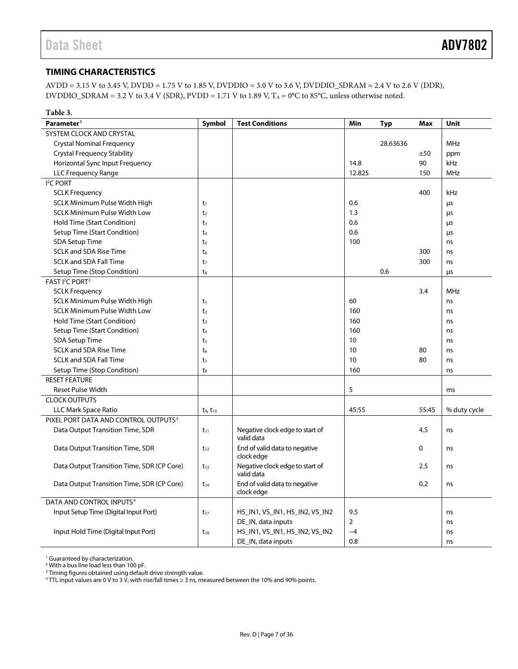### <span id="page-6-0"></span>**TIMING CHARACTERISTICS**

AVDD = 3.15 V to 3.45 V, DVDD = 1.75 V to 1.85 V, DVDDIO = 3.0 V to 3.6 V, DVDDIO\_SDRAM = 2.4 V to 2.6 V (DDR), DVDDIO\_SDRAM = 3.2 V to 3.4 V (SDR), PVDD = 1.71 V to 1.89 V,  $T_A = 0^\circ \text{C}$  to 85°C, unless otherwise noted.

| Table 3.                                         |                |                                               |                |          |       |              |
|--------------------------------------------------|----------------|-----------------------------------------------|----------------|----------|-------|--------------|
| Parameter <sup>1</sup>                           | Symbol         | <b>Test Conditions</b>                        | Min            | Typ      | Max   | Unit         |
| <b>SYSTEM CLOCK AND CRYSTAL</b>                  |                |                                               |                |          |       |              |
| <b>Crystal Nominal Frequency</b>                 |                |                                               |                | 28.63636 |       | <b>MHz</b>   |
| <b>Crystal Frequency Stability</b>               |                |                                               |                |          | ±50   | ppm          |
| Horizontal Sync Input Frequency                  |                |                                               | 14.8           |          | 90    | kHz          |
| LLC Frequency Range                              |                |                                               | 12.825         |          | 150   | <b>MHz</b>   |
| I <sup>2</sup> C PORT                            |                |                                               |                |          |       |              |
| <b>SCLK Frequency</b>                            |                |                                               |                |          | 400   | kHz          |
| <b>SCLK Minimum Pulse Width High</b>             | t1             |                                               | 0.6            |          |       | μs           |
| <b>SCLK Minimum Pulse Width Low</b>              | t <sub>2</sub> |                                               | 1.3            |          |       | μs           |
| Hold Time (Start Condition)                      | t <sub>3</sub> |                                               | 0.6            |          |       | μs           |
| Setup Time (Start Condition)                     | t <sub>4</sub> |                                               | 0.6            |          |       | μs           |
| <b>SDA Setup Time</b>                            | t5             |                                               | 100            |          |       | ns           |
| <b>SCLK and SDA Rise Time</b>                    | t6             |                                               |                |          | 300   | ns           |
| <b>SCLK and SDA Fall Time</b>                    | t <sub>7</sub> |                                               |                |          | 300   | ns           |
| Setup Time (Stop Condition)                      | $t_8$          |                                               |                | 0.6      |       | μs           |
| FAST I <sup>2</sup> C PORT <sup>2</sup>          |                |                                               |                |          |       |              |
| <b>SCLK Frequency</b>                            |                |                                               |                |          | 3.4   | MHz          |
| SCLK Minimum Pulse Width High                    | $t_1$          |                                               | 60             |          |       | ns           |
| <b>SCLK Minimum Pulse Width Low</b>              | t <sub>2</sub> |                                               | 160            |          |       | ns           |
| Hold Time (Start Condition)                      | t <sub>3</sub> |                                               | 160            |          |       | ns           |
| Setup Time (Start Condition)                     | t <sub>4</sub> |                                               | 160            |          |       | ns           |
| <b>SDA Setup Time</b>                            | t <sub>5</sub> |                                               | 10             |          |       | ns           |
| <b>SCLK and SDA Rise Time</b>                    | t <sub>6</sub> |                                               | 10             |          | 80    | ns           |
| <b>SCLK and SDA Fall Time</b>                    | t <sub>7</sub> |                                               | 10             |          | 80    | ns           |
| Setup Time (Stop Condition)                      | $t_8$          |                                               | 160            |          |       | ns           |
| <b>RESET FEATURE</b>                             |                |                                               |                |          |       |              |
| <b>Reset Pulse Width</b>                         |                |                                               | 5              |          |       | ms           |
| <b>CLOCK OUTPUTS</b>                             |                |                                               |                |          |       |              |
| <b>LLC Mark Space Ratio</b>                      | $t_9, t_{10}$  |                                               | 45:55          |          | 55:45 | % duty cycle |
| PIXEL PORT DATA AND CONTROL OUTPUTS <sup>3</sup> |                |                                               |                |          |       |              |
| Data Output Transition Time, SDR                 | $t_{11}$       | Negative clock edge to start of<br>valid data |                |          | 4.5   | ns           |
| Data Output Transition Time, SDR                 | $t_{12}$       | End of valid data to negative<br>clock edge   |                |          | 0     | ns           |
| Data Output Transition Time, SDR (CP Core)       | $t_{13}$       | Negative clock edge to start of<br>valid data |                |          | 2.5   | ns           |
| Data Output Transition Time, SDR (CP Core)       | $t_{14}$       | End of valid data to negative<br>clock edge   |                |          | 0.2   | ns           |
| DATA AND CONTROL INPUTS <sup>4</sup>             |                |                                               |                |          |       |              |
| Input Setup Time (Digital Input Port)            | $t_{17}$       | HS_IN1, VS_IN1, HS_IN2, VS_IN2                | 9.5            |          |       | ns           |
|                                                  |                | DE_IN, data inputs                            | $\overline{2}$ |          |       | ns           |
| Input Hold Time (Digital Input Port)             | $t_{18}$       | HS_IN1, VS_IN1, HS_IN2, VS_IN2                | $-4$           |          |       | ns           |
|                                                  |                | DE_IN, data inputs                            | 0.8            |          |       | ns           |

<span id="page-6-1"></span><sup>1</sup> Guaranteed by characterization.<br><sup>2</sup> With a bus line load less than 100 pF.

<span id="page-6-3"></span><span id="page-6-2"></span><sup>3</sup> Timing figures obtained using default drive strength value.

<span id="page-6-4"></span> $4$  TTL input values are 0 V to 3 V, with rise/fall times ≥ 3 ns, measured between the 10% and 90% points.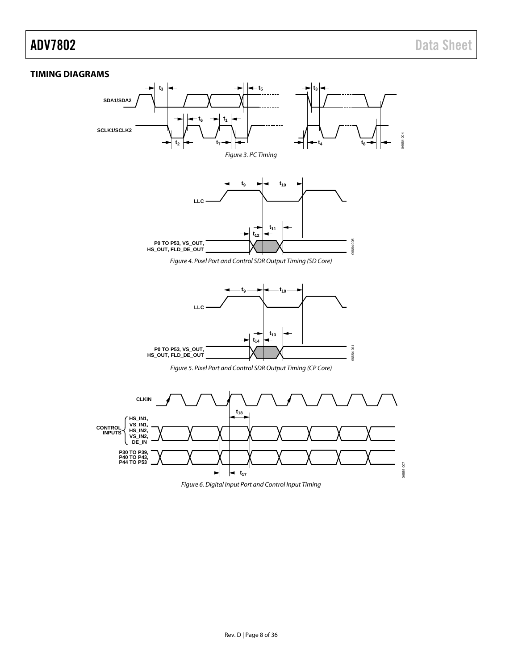#### <span id="page-7-0"></span>**TIMING DIAGRAMS**



Figure 6. Digital Input Port and Control Input Timing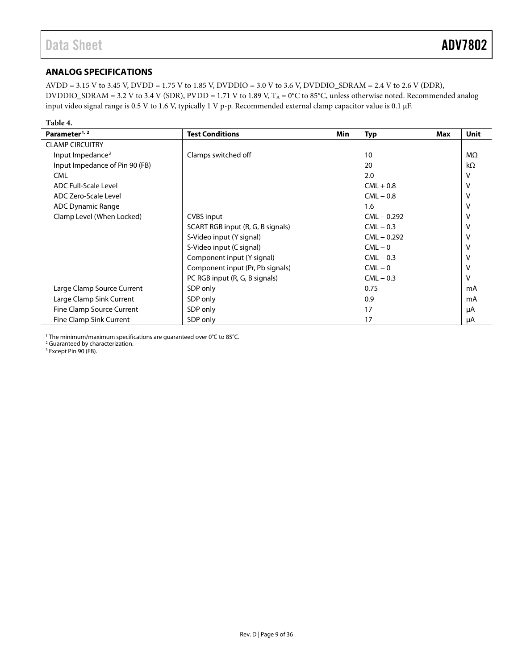### <span id="page-8-0"></span>**ANALOG SPECIFICATIONS**

AVDD = 3.15 V to 3.45 V, DVDD = 1.75 V to 1.85 V, DVDDIO = 3.0 V to 3.6 V, DVDDIO\_SDRAM = 2.4 V to 2.6 V (DDR), DVDDIO\_SDRAM = 3.2 V to 3.4 V (SDR), PVDD = 1.71 V to 1.89 V,  $T_A = 0$ °C to 85°C, unless otherwise noted. Recommended analog input video signal range is 0.5 V to 1.6 V, typically 1 V p-p. Recommended external clamp capacitor value is 0.1 μF.

| Table 4.                       |                                   |            |               |     |             |
|--------------------------------|-----------------------------------|------------|---------------|-----|-------------|
| Parameter <sup>1, 2</sup>      | <b>Test Conditions</b>            | <b>Min</b> | <b>Typ</b>    | Max | <b>Unit</b> |
| <b>CLAMP CIRCUITRY</b>         |                                   |            |               |     |             |
| Input Impedance <sup>3</sup>   | Clamps switched off               |            | 10            |     | MΩ          |
| Input Impedance of Pin 90 (FB) |                                   |            | 20            |     | kΩ          |
| <b>CML</b>                     |                                   |            | 2.0           |     |             |
| <b>ADC Full-Scale Level</b>    |                                   |            | $CML + 0.8$   |     |             |
| ADC Zero-Scale Level           |                                   |            | $CML - 0.8$   |     |             |
| <b>ADC Dynamic Range</b>       |                                   |            | 1.6           |     |             |
| Clamp Level (When Locked)      | <b>CVBS</b> input                 |            | $CML - 0.292$ |     |             |
|                                | SCART RGB input (R, G, B signals) |            | $CML - 0.3$   |     |             |
|                                | S-Video input (Y signal)          |            | $CML - 0.292$ |     |             |
|                                | S-Video input (C signal)          |            | $CML - 0$     |     |             |
|                                | Component input (Y signal)        |            | $CML - 0.3$   |     |             |
|                                | Component input (Pr, Pb signals)  |            | $CML - 0$     |     |             |
|                                | PC RGB input (R, G, B signals)    |            | $CML - 0.3$   |     |             |
| Large Clamp Source Current     | SDP only                          |            | 0.75          |     | mA          |
| Large Clamp Sink Current       | SDP only                          |            | 0.9           |     | mA          |
| Fine Clamp Source Current      | SDP only                          |            | 17            |     | μA          |
| Fine Clamp Sink Current        | SDP only                          |            | 17            |     | μA          |

<sup>1</sup> The minimum/maximum specifications are guaranteed over 0°C to 85°C.

<span id="page-8-2"></span><span id="page-8-1"></span><sup>2</sup> Guaranteed by characterization.

<span id="page-8-3"></span><sup>3</sup> Except Pin 90 (FB).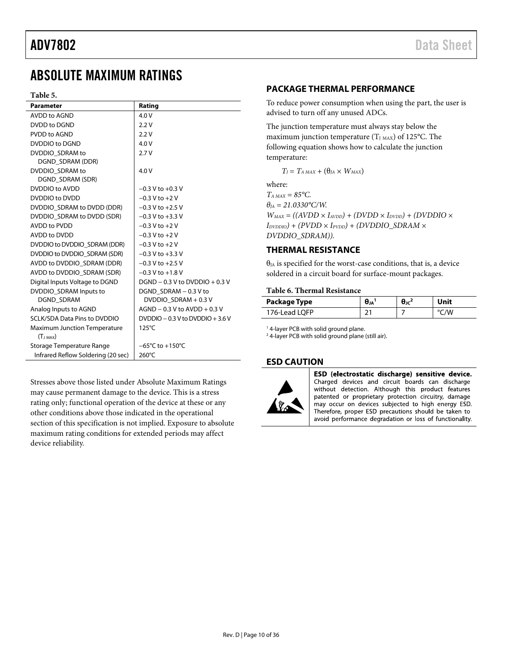## <span id="page-9-0"></span>ABSOLUTE MAXIMUM RATINGS

#### **Table 5.**

| <b>Parameter</b>                    | Rating                              |
|-------------------------------------|-------------------------------------|
| AVDD to AGND                        | 4.0V                                |
| DVDD to DGND                        | 2.2V                                |
| PVDD to AGND                        | 2.2V                                |
| DVDDIO to DGND                      | 4.0V                                |
| DVDDIO SDRAM to                     | 2.7V                                |
| DGND SDRAM (DDR)                    |                                     |
| DVDDIO SDRAM to                     | 4.0V                                |
| DGND SDRAM (SDR)                    |                                     |
| DVDDIO to AVDD                      | $-0.3$ V to $+0.3$ V                |
| DVDDIO to DVDD                      | $-0.3$ V to $+2$ V                  |
| DVDDIO_SDRAM to DVDD (DDR)          | $-0.3$ V to $+2.5$ V                |
| DVDDIO SDRAM to DVDD (SDR)          | $-0.3$ V to $+3.3$ V                |
| <b>AVDD to PVDD</b>                 | $-0.3$ V to $+2$ V                  |
| AVDD to DVDD                        | $-0.3 V$ to $+2 V$                  |
| DVDDIO to DVDDIO SDRAM (DDR)        | $-0.3$ V to $+2$ V                  |
| DVDDIO to DVDDIO SDRAM (SDR)        | $-0.3$ V to $+3.3$ V                |
| AVDD to DVDDIO SDRAM (DDR)          | $-0.3$ V to $+2.5$ V                |
| AVDD to DVDDIO SDRAM (SDR)          | $-0.3$ V to $+1.8$ V                |
| Digital Inputs Voltage to DGND      | $DGND - 0.3 V$ to $DVDDO + 0.3 V$   |
| DVDDIO SDRAM Inputs to              | DGND SDRAM - 0.3 V to               |
| <b>DGND SDRAM</b>                   | DVDDIO SDRAM + 0.3 V                |
| Analog Inputs to AGND               | $AGND - 0.3 V$ to $AVDD + 0.3 V$    |
| <b>SCLK/SDA Data Pins to DVDDIO</b> | $DVDDO - 0.3 V$ to $DVDDO + 3.6 V$  |
| <b>Maximum Junction Temperature</b> | $125^{\circ}$ C                     |
| $(T_{J MAX})$                       |                                     |
| Storage Temperature Range           | $-65^{\circ}$ C to $+150^{\circ}$ C |
| Infrared Reflow Soldering (20 sec)  | 260°C                               |

Stresses above those listed under Absolute Maximum Ratings may cause permanent damage to the device. This is a stress rating only; functional operation of the device at these or any other conditions above those indicated in the operational section of this specification is not implied. Exposure to absolute maximum rating conditions for extended periods may affect device reliability.

#### <span id="page-9-1"></span>**PACKAGE THERMAL PERFORMANCE**

To reduce power consumption when using the part, the user is advised to turn off any unused ADCs.

The junction temperature must always stay below the maximum junction temperature ( $T_{J MAX}$ ) of 125°C. The following equation shows how to calculate the junction temperature:

 $T_J = T_{A MAX} + (\theta_{JA} \times W_{MAX})$ 

where:

 $T_{A MAX} = 85^{\circ}C$ .  $\theta_{IA} = 21.0330$ °C/W.  $W_{MAX} = ((AVDD \times I_{AVDD}) + (DVDD \times I_{DVDD}) + (DVDDIO \times I_{VDD})$  $I_{DVDDIO}$ ) + (PVDD  $\times$   $I_{PVDD}$ ) + (DVDDIO\_SDRAM  $\times$ *DVDDIO\_SDRAM)).*

### <span id="page-9-2"></span>**THERMAL RESISTANCE**

 $\theta_{IA}$  is specified for the worst-case conditions, that is, a device soldered in a circuit board for surface-mount packages.

#### **Table 6. Thermal Resistance**

| Package Type  | $\theta_{JA}$ | $\theta$ ıc <sup>2</sup> | Unit |
|---------------|---------------|--------------------------|------|
| 176-Lead LOFP |               |                          | /V   |

<sup>1</sup> 4-layer PCB with solid ground plane.

<span id="page-9-3"></span><sup>2</sup> 4-layer PCB with solid ground plane (still air).

#### **ESD CAUTION**



ESD (electrostatic discharge) sensitive device. Charged devices and circuit boards can discharge without detection. Although this product features patented or proprietary protection circuitry, damage may occur on devices subjected to high energy ESD. Therefore, proper ESD precautions should be taken to avoid performance degradation or loss of functionality.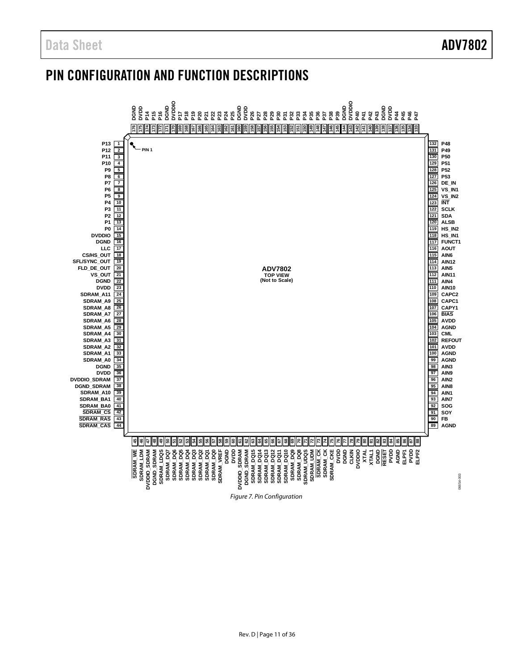## <span id="page-10-0"></span>PIN CONFIGURATION AND FUNCTION DESCRIPTIONS

<span id="page-10-1"></span>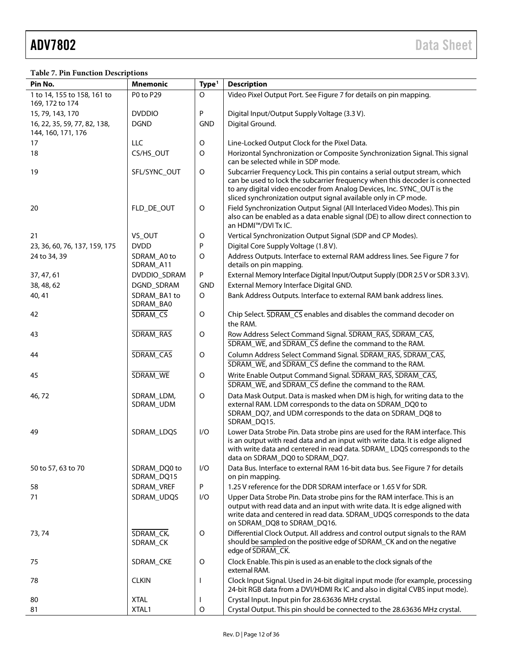#### **Table 7. Pin Function Descriptions**

| Pin No.                             | <b>Mnemonic</b>            | Type <sup>1</sup> | <b>Description</b>                                                                                                                                                                                                                                                                                     |
|-------------------------------------|----------------------------|-------------------|--------------------------------------------------------------------------------------------------------------------------------------------------------------------------------------------------------------------------------------------------------------------------------------------------------|
| 1 to 14, 155 to 158, 161 to         | P0 to P29                  | O                 | Video Pixel Output Port. See Figure 7 for details on pin mapping.                                                                                                                                                                                                                                      |
| 169, 172 to 174<br>15, 79, 143, 170 | <b>DVDDIO</b>              | P                 | Digital Input/Output Supply Voltage (3.3 V).                                                                                                                                                                                                                                                           |
| 16, 22, 35, 59, 77, 82, 138,        | <b>DGND</b>                | <b>GND</b>        | Digital Ground.                                                                                                                                                                                                                                                                                        |
| 144, 160, 171, 176                  |                            |                   |                                                                                                                                                                                                                                                                                                        |
| 17                                  | LLC                        | $\circ$           | Line-Locked Output Clock for the Pixel Data.                                                                                                                                                                                                                                                           |
| 18                                  | CS/HS_OUT                  | $\circ$           | Horizontal Synchronization or Composite Synchronization Signal. This signal<br>can be selected while in SDP mode.                                                                                                                                                                                      |
| 19                                  | SFL/SYNC_OUT               | $\circ$           | Subcarrier Frequency Lock. This pin contains a serial output stream, which<br>can be used to lock the subcarrier frequency when this decoder is connected<br>to any digital video encoder from Analog Devices, Inc. SYNC_OUT is the<br>sliced synchronization output signal available only in CP mode. |
| 20                                  | FLD_DE_OUT                 | $\circ$           | Field Synchronization Output Signal (All Interlaced Video Modes). This pin<br>also can be enabled as a data enable signal (DE) to allow direct connection to<br>an HDMI™/DVI Tx IC.                                                                                                                    |
| 21                                  | VS_OUT                     | O                 | Vertical Synchronization Output Signal (SDP and CP Modes).                                                                                                                                                                                                                                             |
| 23, 36, 60, 76, 137, 159, 175       | <b>DVDD</b>                | P                 | Digital Core Supply Voltage (1.8 V).                                                                                                                                                                                                                                                                   |
| 24 to 34, 39                        | SDRAM_A0 to<br>SDRAM_A11   | $\circ$           | Address Outputs. Interface to external RAM address lines. See Figure 7 for<br>details on pin mapping.                                                                                                                                                                                                  |
| 37, 47, 61                          | DVDDIO_SDRAM               | P                 | External Memory Interface Digital Input/Output Supply (DDR 2.5 V or SDR 3.3 V).                                                                                                                                                                                                                        |
| 38, 48, 62                          | DGND_SDRAM                 | <b>GND</b>        | External Memory Interface Digital GND.                                                                                                                                                                                                                                                                 |
| 40, 41                              | SDRAM_BA1 to<br>SDRAM_BA0  | $\circ$           | Bank Address Outputs. Interface to external RAM bank address lines.                                                                                                                                                                                                                                    |
| 42                                  | <b>SDRAM CS</b>            | $\circ$           | Chip Select. SDRAM_CS enables and disables the command decoder on<br>the RAM.                                                                                                                                                                                                                          |
| 43                                  | SDRAM_RAS                  | $\circ$           | Row Address Select Command Signal. SDRAM_RAS, SDRAM_CAS,<br>SDRAM_WE, and SDRAM_CS define the command to the RAM.                                                                                                                                                                                      |
| 44                                  | SDRAM_CAS                  | $\mathsf O$       | Column Address Select Command Signal. SDRAM_RAS, SDRAM_CAS,<br>SDRAM_WE, and SDRAM_CS define the command to the RAM.                                                                                                                                                                                   |
| 45                                  | SDRAM_WE                   | $\mathsf O$       | Write Enable Output Command Signal. SDRAM_RAS, SDRAM_CAS,<br>SDRAM_WE, and SDRAM_CS define the command to the RAM.                                                                                                                                                                                     |
| 46,72                               | SDRAM_LDM,<br>SDRAM_UDM    | $\mathsf O$       | Data Mask Output. Data is masked when DM is high, for writing data to the<br>external RAM. LDM corresponds to the data on SDRAM_DQ0 to<br>SDRAM_DQ7, and UDM corresponds to the data on SDRAM_DQ8 to<br>SDRAM_DQ15.                                                                                    |
| 49                                  | SDRAM_LDQS                 | I/O               | Lower Data Strobe Pin. Data strobe pins are used for the RAM interface. This<br>is an output with read data and an input with write data. It is edge aligned<br>with write data and centered in read data. SDRAM_LDQS corresponds to the<br>data on SDRAM_DQ0 to SDRAM_DQ7.                            |
| 50 to 57, 63 to 70                  | SDRAM_DQ0 to<br>SDRAM_DQ15 | I/O               | Data Bus. Interface to external RAM 16-bit data bus. See Figure 7 for details<br>on pin mapping.                                                                                                                                                                                                       |
| 58                                  | SDRAM_VREF                 | P                 | 1.25 V reference for the DDR SDRAM interface or 1.65 V for SDR.                                                                                                                                                                                                                                        |
| 71                                  | SDRAM_UDQS                 | I/O               | Upper Data Strobe Pin. Data strobe pins for the RAM interface. This is an<br>output with read data and an input with write data. It is edge aligned with<br>write data and centered in read data. SDRAM_UDQS corresponds to the data<br>on SDRAM_DQ8 to SDRAM_DQ16.                                    |
| 73, 74                              | SDRAM_CK,<br>SDRAM_CK      | $\circ$           | Differential Clock Output. All address and control output signals to the RAM<br>should be sampled on the positive edge of SDRAM_CK and on the negative<br>edge of SDRAM_CK.                                                                                                                            |
| 75                                  | SDRAM_CKE                  | $\circ$           | Clock Enable. This pin is used as an enable to the clock signals of the<br>external RAM.                                                                                                                                                                                                               |
| 78                                  | <b>CLKIN</b>               | ı                 | Clock Input Signal. Used in 24-bit digital input mode (for example, processing<br>24-bit RGB data from a DVI/HDMI Rx IC and also in digital CVBS input mode).                                                                                                                                          |
| 80                                  | <b>XTAL</b>                | I                 | Crystal Input. Input pin for 28.63636 MHz crystal.                                                                                                                                                                                                                                                     |
| 81                                  | XTAL1                      | O                 | Crystal Output. This pin should be connected to the 28.63636 MHz crystal.                                                                                                                                                                                                                              |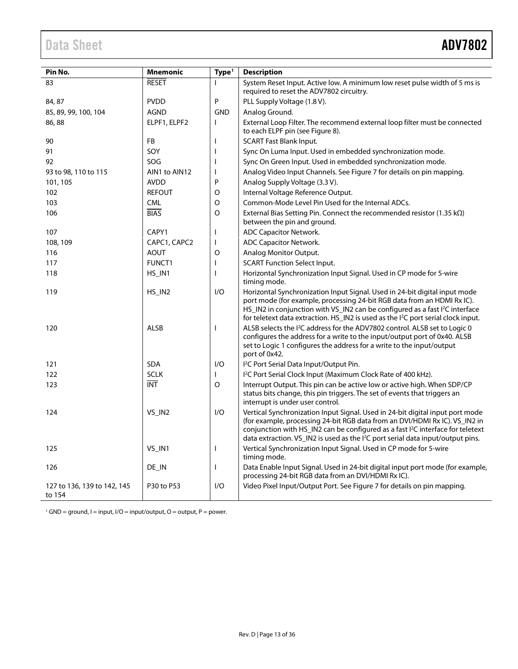<span id="page-12-0"></span>

| Pin No.                               | <b>Mnemonic</b>         | Type <sup>1</sup> | <b>Description</b>                                                                                                                                                                                                                                                                                                                                         |
|---------------------------------------|-------------------------|-------------------|------------------------------------------------------------------------------------------------------------------------------------------------------------------------------------------------------------------------------------------------------------------------------------------------------------------------------------------------------------|
| 83                                    | <b>RESET</b>            | $\mathbf{I}$      | System Reset Input. Active low. A minimum low reset pulse width of 5 ms is<br>required to reset the ADV7802 circuitry.                                                                                                                                                                                                                                     |
| 84, 87                                | <b>PVDD</b>             | P                 | PLL Supply Voltage (1.8 V).                                                                                                                                                                                                                                                                                                                                |
| 85, 89, 99, 100, 104                  | <b>AGND</b>             | <b>GND</b>        | Analog Ground.                                                                                                                                                                                                                                                                                                                                             |
| 86,88                                 | ELPF1, ELPF2            | $\mathbf{I}$      | External Loop Filter. The recommend external loop filter must be connected<br>to each ELPF pin (see Figure 8).                                                                                                                                                                                                                                             |
| 90                                    | FB                      | I                 | <b>SCART Fast Blank Input.</b>                                                                                                                                                                                                                                                                                                                             |
| 91                                    | SOY                     | H                 | Sync On Luma Input. Used in embedded synchronization mode.                                                                                                                                                                                                                                                                                                 |
| 92                                    | SOG                     | ı                 | Sync On Green Input. Used in embedded synchronization mode.                                                                                                                                                                                                                                                                                                |
| 93 to 98, 110 to 115                  | AIN1 to AIN12           | T                 | Analog Video Input Channels. See Figure 7 for details on pin mapping.                                                                                                                                                                                                                                                                                      |
| 101, 105                              | <b>AVDD</b>             | P                 | Analog Supply Voltage (3.3 V).                                                                                                                                                                                                                                                                                                                             |
| 102                                   | <b>REFOUT</b>           | O                 | Internal Voltage Reference Output.                                                                                                                                                                                                                                                                                                                         |
| 103                                   | <b>CML</b>              | $\circ$           | Common-Mode Level Pin Used for the Internal ADCs.                                                                                                                                                                                                                                                                                                          |
| 106                                   | <b>BIAS</b>             | $\circ$           | External Bias Setting Pin. Connect the recommended resistor (1.35 k $\Omega$ )<br>between the pin and ground.                                                                                                                                                                                                                                              |
| 107                                   | CAPY1                   | $\mathbf{I}$      | <b>ADC Capacitor Network.</b>                                                                                                                                                                                                                                                                                                                              |
| 108, 109                              | CAPC1, CAPC2            | $\mathbf{I}$      | <b>ADC Capacitor Network.</b>                                                                                                                                                                                                                                                                                                                              |
| 116                                   | <b>AOUT</b>             | O                 | Analog Monitor Output.                                                                                                                                                                                                                                                                                                                                     |
| 117                                   | <b>FUNCT1</b>           | ı                 | <b>SCART Function Select Input.</b>                                                                                                                                                                                                                                                                                                                        |
| 118                                   | HS_IN1                  | $\mathbf{I}$      | Horizontal Synchronization Input Signal. Used in CP mode for 5-wire<br>timing mode.                                                                                                                                                                                                                                                                        |
| 119                                   | HS_IN2                  | 1/O               | Horizontal Synchronization Input Signal. Used in 24-bit digital input mode<br>port mode (for example, processing 24-bit RGB data from an HDMI Rx IC).<br>HS_IN2 in conjunction with VS_IN2 can be configured as a fast I <sup>2</sup> C interface<br>for teletext data extraction. HS_IN2 is used as the I <sup>2</sup> C port serial clock input.         |
| 120                                   | <b>ALSB</b>             | T                 | ALSB selects the <sup>2</sup> C address for the ADV7802 control. ALSB set to Logic 0<br>configures the address for a write to the input/output port of 0x40. ALSB<br>set to Logic 1 configures the address for a write to the input/output<br>port of 0x42.                                                                                                |
| 121                                   | <b>SDA</b>              | I/O               | I <sup>2</sup> C Port Serial Data Input/Output Pin.                                                                                                                                                                                                                                                                                                        |
| 122                                   | <b>SCLK</b>             | $\mathbf{I}$      | I <sup>2</sup> C Port Serial Clock Input (Maximum Clock Rate of 400 kHz).                                                                                                                                                                                                                                                                                  |
| 123                                   | $\overline{\text{INT}}$ | $\circ$           | Interrupt Output. This pin can be active low or active high. When SDP/CP<br>status bits change, this pin triggers. The set of events that triggers an<br>interrupt is under user control.                                                                                                                                                                  |
| 124                                   | VS_IN2                  | I/O               | Vertical Synchronization Input Signal. Used in 24-bit digital input port mode<br>(for example, processing 24-bit RGB data from an DVI/HDMI Rx IC). VS_IN2 in<br>conjunction with HS_IN2 can be configured as a fast I <sup>2</sup> C interface for teletext<br>data extraction. VS_IN2 is used as the I <sup>2</sup> C port serial data input/output pins. |
| 125                                   | VS IN1                  | I.                | Vertical Synchronization Input Signal. Used in CP mode for 5-wire<br>timing mode.                                                                                                                                                                                                                                                                          |
| 126                                   | DE_IN                   | T                 | Data Enable Input Signal. Used in 24-bit digital input port mode (for example,<br>processing 24-bit RGB data from an DVI/HDMI Rx IC).                                                                                                                                                                                                                      |
| 127 to 136, 139 to 142, 145<br>to 154 | P30 to P53              | I/O               | Video Pixel Input/Output Port. See Figure 7 for details on pin mapping.                                                                                                                                                                                                                                                                                    |

 $1$  GND = ground, I = input, I/O = input/output, O = output, P = power.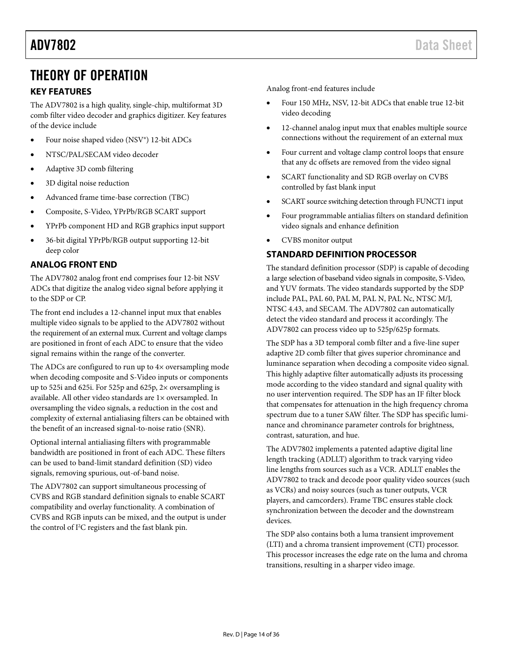## <span id="page-13-0"></span>THEORY OF OPERATION

### <span id="page-13-1"></span>**KEY FEATURES**

The ADV7802 is a high quality, single-chip, multiformat 3D comb filter video decoder and graphics digitizer. Key features of the device include

- Four noise shaped video (NSV®) 12-bit ADCs
- NTSC/PAL/SECAM video decoder
- Adaptive 3D comb filtering
- 3D digital noise reduction
- Advanced frame time-base correction (TBC)
- Composite, S-Video, YPrPb/RGB SCART support
- YPrPb component HD and RGB graphics input support
- 36-bit digital YPrPb/RGB output supporting 12-bit deep color

### <span id="page-13-2"></span>**ANALOG FRONT END**

The ADV7802 analog front end comprises four 12-bit NSV ADCs that digitize the analog video signal before applying it to the SDP or CP.

The front end includes a 12-channel input mux that enables multiple video signals to be applied to the ADV7802 without the requirement of an external mux. Current and voltage clamps are positioned in front of each ADC to ensure that the video signal remains within the range of the converter.

The ADCs are configured to run up to  $4\times$  oversampling mode when decoding composite and S-Video inputs or components up to 525i and 625i. For 525p and 625p, 2× oversampling is available. All other video standards are 1× oversampled. In oversampling the video signals, a reduction in the cost and complexity of external antialiasing filters can be obtained with the benefit of an increased signal-to-noise ratio (SNR).

Optional internal antialiasing filters with programmable bandwidth are positioned in front of each ADC. These filters can be used to band-limit standard definition (SD) video signals, removing spurious, out-of-band noise.

The ADV7802 can support simultaneous processing of CVBS and RGB standard definition signals to enable SCART compatibility and overlay functionality. A combination of CVBS and RGB inputs can be mixed, and the output is under the control of I<sup>2</sup>C registers and the fast blank pin.

Analog front-end features include

- Four 150 MHz, NSV, 12-bit ADCs that enable true 12-bit video decoding
- 12-channel analog input mux that enables multiple source connections without the requirement of an external mux
- Four current and voltage clamp control loops that ensure that any dc offsets are removed from the video signal
- SCART functionality and SD RGB overlay on CVBS controlled by fast blank input
- SCART source switching detection through FUNCT1 input
- Four programmable antialias filters on standard definition video signals and enhance definition
- CVBS monitor output

### <span id="page-13-3"></span>**STANDARD DEFINITION PROCESSOR**

The standard definition processor (SDP) is capable of decoding a large selection of baseband video signals in composite, S-Video, and YUV formats. The video standards supported by the SDP include PAL, PAL 60, PAL M, PAL N, PAL Nc, NTSC M/J, NTSC 4.43, and SECAM. The ADV7802 can automatically detect the video standard and process it accordingly. The ADV7802 can process video up to 525p/625p formats.

The SDP has a 3D temporal comb filter and a five-line super adaptive 2D comb filter that gives superior chrominance and luminance separation when decoding a composite video signal. This highly adaptive filter automatically adjusts its processing mode according to the video standard and signal quality with no user intervention required. The SDP has an IF filter block that compensates for attenuation in the high frequency chroma spectrum due to a tuner SAW filter. The SDP has specific luminance and chrominance parameter controls for brightness, contrast, saturation, and hue.

The ADV7802 implements a patented adaptive digital line length tracking (ADLLT) algorithm to track varying video line lengths from sources such as a VCR. ADLLT enables the ADV7802 to track and decode poor quality video sources (such as VCRs) and noisy sources (such as tuner outputs, VCR players, and camcorders). Frame TBC ensures stable clock synchronization between the decoder and the downstream devices.

The SDP also contains both a luma transient improvement (LTI) and a chroma transient improvement (CTI) processor. This processor increases the edge rate on the luma and chroma transitions, resulting in a sharper video image.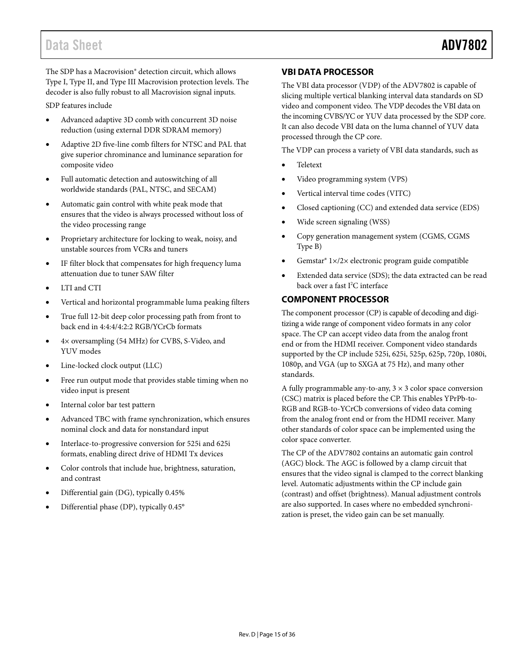The SDP has a Macrovision® detection circuit, which allows Type I, Type II, and Type III Macrovision protection levels. The decoder is also fully robust to all Macrovision signal inputs.

SDP features include

- Advanced adaptive 3D comb with concurrent 3D noise reduction (using external DDR SDRAM memory)
- Adaptive 2D five-line comb filters for NTSC and PAL that give superior chrominance and luminance separation for composite video
- Full automatic detection and autoswitching of all worldwide standards (PAL, NTSC, and SECAM)
- Automatic gain control with white peak mode that ensures that the video is always processed without loss of the video processing range
- Proprietary architecture for locking to weak, noisy, and unstable sources from VCRs and tuners
- IF filter block that compensates for high frequency luma attenuation due to tuner SAW filter
- LTI and CTI
- Vertical and horizontal programmable luma peaking filters
- True full 12-bit deep color processing path from front to back end in 4:4:4/4:2:2 RGB/YCrCb formats
- 4× oversampling (54 MHz) for CVBS, S-Video, and YUV modes
- Line-locked clock output (LLC)
- Free run output mode that provides stable timing when no video input is present
- Internal color bar test pattern
- Advanced TBC with frame synchronization, which ensures nominal clock and data for nonstandard input
- Interlace-to-progressive conversion for 525i and 625i formats, enabling direct drive of HDMI Tx devices
- Color controls that include hue, brightness, saturation, and contrast
- Differential gain (DG), typically 0.45%
- Differential phase (DP), typically 0.45°

### <span id="page-14-0"></span>**VBI DATA PROCESSOR**

The VBI data processor (VDP) of the ADV7802 is capable of slicing multiple vertical blanking interval data standards on SD video and component video. The VDP decodes the VBI data on the incoming CVBS/YC or YUV data processed by the SDP core. It can also decode VBI data on the luma channel of YUV data processed through the CP core.

The VDP can process a variety of VBI data standards, such as

- Teletext
- Video programming system (VPS)
- Vertical interval time codes (VITC)
- Closed captioning (CC) and extended data service (EDS)
- Wide screen signaling (WSS)
- Copy generation management system (CGMS, CGMS Type B)
- Gemstar® 1×/2× electronic program guide compatible
- Extended data service (SDS); the data extracted can be read back over a fast I<sup>2</sup>C interface

### <span id="page-14-1"></span>**COMPONENT PROCESSOR**

The component processor (CP) is capable of decoding and digitizing a wide range of component video formats in any color space. The CP can accept video data from the analog front end or from the HDMI receiver. Component video standards supported by the CP include 525i, 625i, 525p, 625p, 720p, 1080i, 1080p, and VGA (up to SXGA at 75 Hz), and many other standards.

A fully programmable any-to-any,  $3 \times 3$  color space conversion (CSC) matrix is placed before the CP. This enables YPrPb-to-RGB and RGB-to-YCrCb conversions of video data coming from the analog front end or from the HDMI receiver. Many other standards of color space can be implemented using the color space converter.

The CP of the ADV7802 contains an automatic gain control (AGC) block. The AGC is followed by a clamp circuit that ensures that the video signal is clamped to the correct blanking level. Automatic adjustments within the CP include gain (contrast) and offset (brightness). Manual adjustment controls are also supported. In cases where no embedded synchronization is preset, the video gain can be set manually.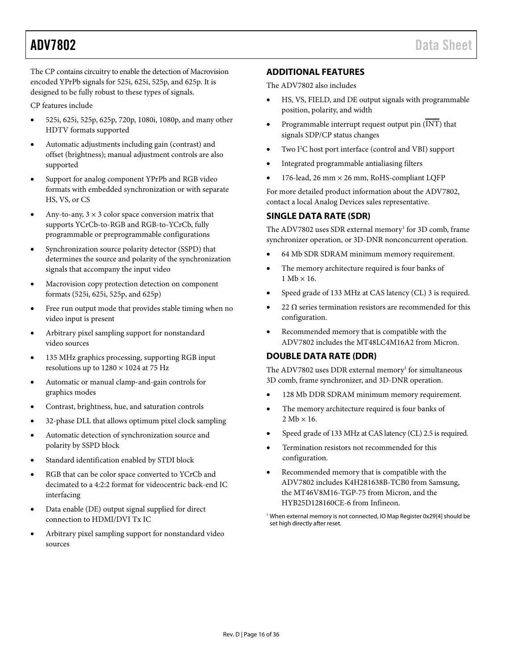<span id="page-15-2"></span>The CP contains circuitry to enable the detection of Macrovision encoded YPrPb signals for 525i, 625i, 525p, and 625p. It is designed to be fully robust to these types of signals.

CP features include

- 525i, 625i, 525p, 625p, 720p, 1080i, 1080p, and many other HDTV formats supported
- Automatic adjustments including gain (contrast) and offset (brightness); manual adjustment controls are also supported
- Support for analog component YPrPb and RGB video formats with embedded synchronization or with separate HS, VS, or CS
- Any-to-any,  $3 \times 3$  color space conversion matrix that supports YCrCb-to-RGB and RGB-to-YCrCb, fully programmable or preprogrammable configurations
- Synchronization source polarity detector (SSPD) that determines the source and polarity of the synchronization signals that accompany the input video
- Macrovision copy protection detection on component formats (525i, 625i, 525p, and 625p)
- Free run output mode that provides stable timing when no video input is present
- Arbitrary pixel sampling support for nonstandard video sources
- 135 MHz graphics processing, supporting RGB input resolutions up to  $1280 \times 1024$  at 75 Hz
- Automatic or manual clamp-and-gain controls for graphics modes
- Contrast, brightness, hue, and saturation controls
- 32-phase DLL that allows optimum pixel clock sampling
- Automatic detection of synchronization source and polarity by SSPD block
- Standard identification enabled by STDI block
- RGB that can be color space converted to YCrCb and decimated to a 4:2:2 format for videocentric back-end IC interfacing
- <span id="page-15-3"></span>• Data enable (DE) output signal supplied for direct connection to HDMI/DVI Tx IC
- Arbitrary pixel sampling support for nonstandard video sources

### **ADDITIONAL FEATURES**

The ADV7802 also includes

- HS, VS, FIELD, and DE output signals with programmable position, polarity, and width
- Programmable interrupt request output pin (INT) that signals SDP/CP status changes
- Two I<sup>2</sup>C host port interface (control and VBI) support
- Integrated programmable antialiasing filters
- 176-lead, 26 mm × 26 mm, RoHS-compliant LQFP

For more detailed product information about the ADV7802, contact a local Analog Devices sales representative.

### <span id="page-15-0"></span>**SINGLE DATA RATE (SDR)**

The ADV7802 uses SDR external memory<sup>1</sup> for 3D comb, frame synchronizer operation, or 3D-DNR nonconcurrent operation.

- 64 Mb SDR SDRAM minimum memory requirement.
- The memory architecture required is four banks of  $1 Mb \times 16$ .
- Speed grade of 133 MHz at CAS latency (CL) 3 is required.
- 22 Ω series termination resistors are recommended for this configuration.
- Recommended memory that is compatible with the ADV7802 includes the MT48LC4M16A2 from Micron.

### <span id="page-15-1"></span>**DOUBLE DATA RATE (DDR)**

The ADV7802 uses DDR external memory<sup>1</sup> for simultaneous 3D comb, frame synchronizer, and 3D-DNR operation.

- 128 Mb DDR SDRAM minimum memory requirement.
- The memory architecture required is four banks of  $2 \text{ Mb} \times 16$ .
- Speed grade of 133 MHz at CAS latency (CL) 2.5 is required.
- Termination resistors not recommended for this configuration.
- Recommended memory that is compatible with the ADV7802 includes K4H281638B-TCB0 from Samsung, the MT46V8M16-TGP-75 from Micron, and the HYB25D128160CE-6 from Infineon.
- <sup>1</sup> When external memory is not connected, IO Map Register 0x29[4] should be set high directly after reset.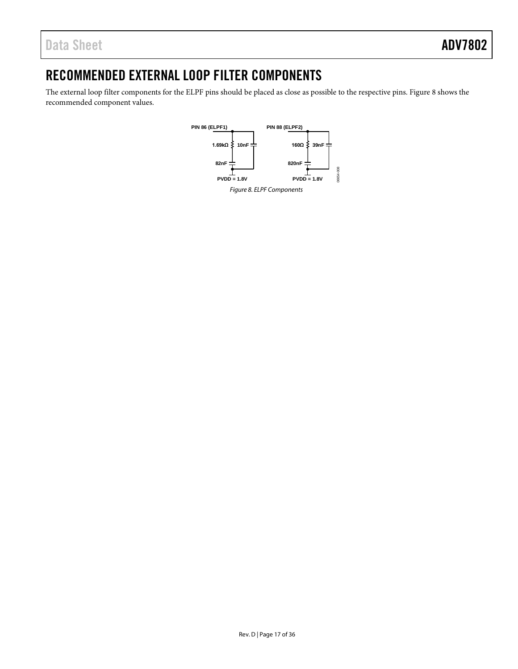## <span id="page-16-0"></span>RECOMMENDED EXTERNAL LOOP FILTER COMPONENTS

<span id="page-16-1"></span>The external loop filter components for the ELPF pins should be placed as close as possible to the respective pins[. Figure 8](#page-16-1) shows the recommended component values.

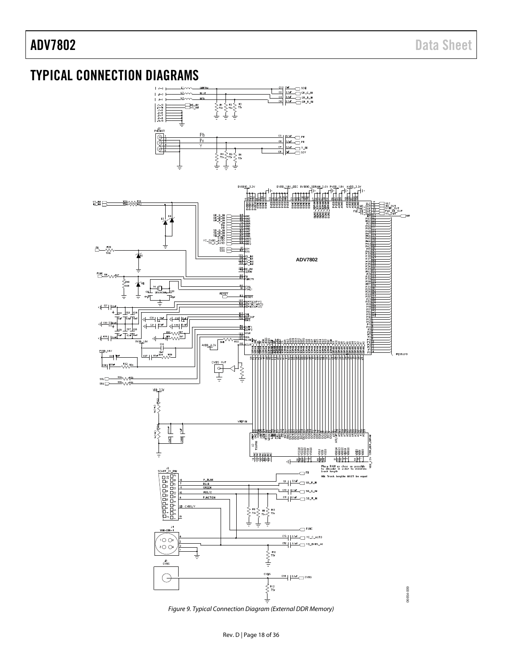## <span id="page-17-0"></span>TYPICAL CONNECTION DIAGRAMS



Figure 9. Typical Connection Diagram (External DDR Memory)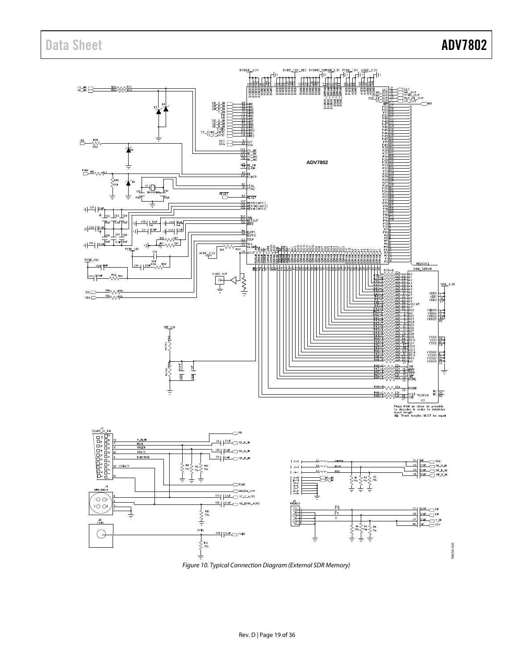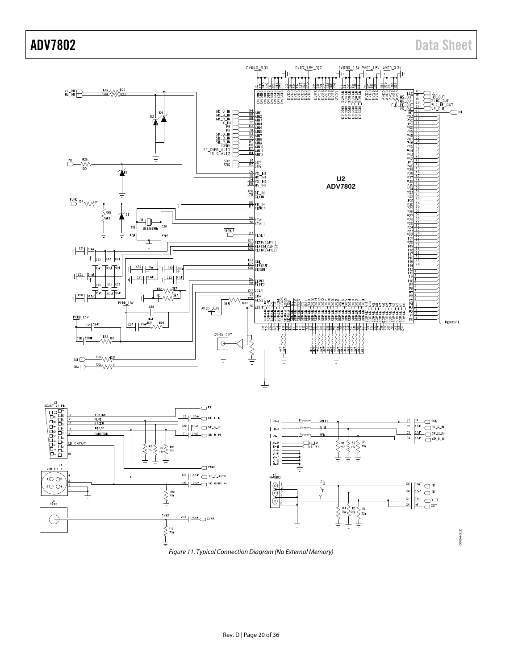

Figure 11. Typical Connection Diagram (No External Memory)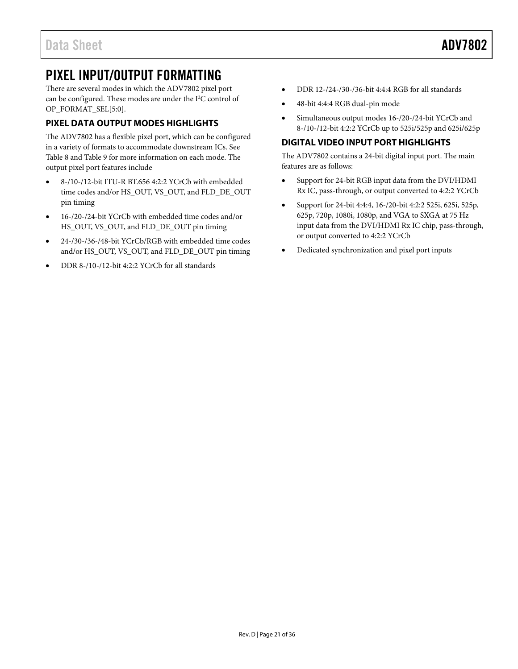## <span id="page-20-0"></span>PIXEL INPUT/OUTPUT FORMATTING

There are several modes in which the ADV7802 pixel port can be configured. These modes are under the  $I<sup>2</sup>C$  control of OP\_FORMAT\_SEL[5:0].

### <span id="page-20-1"></span>**PIXEL DATA OUTPUT MODES HIGHLIGHTS**

The ADV7802 has a flexible pixel port, which can be configured in a variety of formats to accommodate downstream ICs. See [Table 8](#page-21-0) an[d Table 9](#page-27-0) for more information on each mode. The output pixel port features include

- 8-/10-/12-bit ITU-R BT.656 4:2:2 YCrCb with embedded time codes and/or HS\_OUT, VS\_OUT, and FLD\_DE\_OUT pin timing
- 16-/20-/24-bit YCrCb with embedded time codes and/or HS\_OUT, VS\_OUT, and FLD\_DE\_OUT pin timing
- 24-/30-/36-/48-bit YCrCb/RGB with embedded time codes and/or HS\_OUT, VS\_OUT, and FLD\_DE\_OUT pin timing
- DDR 8-/10-/12-bit 4:2:2 YCrCb for all standards
- DDR 12-/24-/30-/36-bit 4:4:4 RGB for all standards
- 48-bit 4:4:4 RGB dual-pin mode
- Simultaneous output modes 16-/20-/24-bit YCrCb and 8-/10-/12-bit 4:2:2 YCrCb up to 525i/525p and 625i/625p

### <span id="page-20-2"></span>**DIGITAL VIDEO INPUT PORT HIGHLIGHTS**

The ADV7802 contains a 24-bit digital input port. The main features are as follows:

- Support for 24-bit RGB input data from the DVI/HDMI Rx IC, pass-through, or output converted to 4:2:2 YCrCb
- Support for 24-bit 4:4:4, 16-/20-bit 4:2:2 525i, 625i, 525p, 625p, 720p, 1080i, 1080p, and VGA to SXGA at 75 Hz input data from the DVI/HDMI Rx IC chip, pass-through, or output converted to 4:2:2 YCrCb
- Dedicated synchronization and pixel port inputs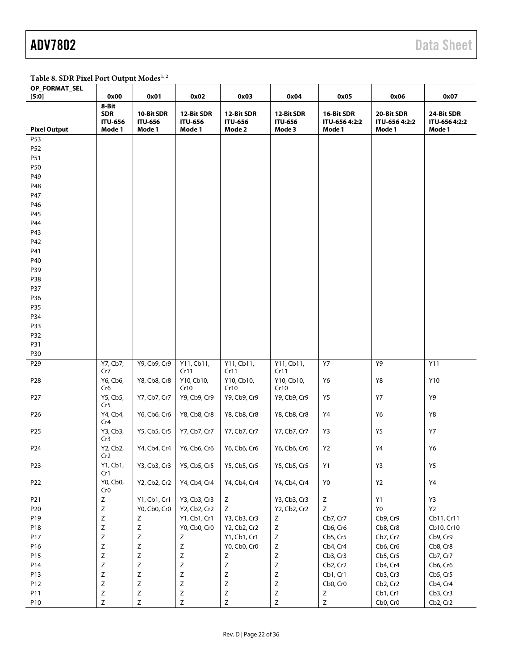<span id="page-21-0"></span>Table 8. SDR Pixel Port Output Modes<sup>1, 2</sup>

| OP_FORMAT_SEL       |                                                 |                                        |                                        |                                        |                                        |                                       |                                       |                                       |
|---------------------|-------------------------------------------------|----------------------------------------|----------------------------------------|----------------------------------------|----------------------------------------|---------------------------------------|---------------------------------------|---------------------------------------|
| [5:0]               | 0x00                                            | 0x01                                   | 0x02                                   | 0x03                                   | 0x04                                   | 0x05                                  | 0x06                                  | 0x07                                  |
| <b>Pixel Output</b> | 8-Bit<br><b>SDR</b><br><b>ITU-656</b><br>Mode 1 | 10-Bit SDR<br><b>ITU-656</b><br>Mode 1 | 12-Bit SDR<br><b>ITU-656</b><br>Mode 1 | 12-Bit SDR<br><b>ITU-656</b><br>Mode 2 | 12-Bit SDR<br><b>ITU-656</b><br>Mode 3 | 16-Bit SDR<br>ITU-656 4:2:2<br>Mode 1 | 20-Bit SDR<br>ITU-656 4:2:2<br>Mode 1 | 24-Bit SDR<br>ITU-656 4:2:2<br>Mode 1 |
| P53                 |                                                 |                                        |                                        |                                        |                                        |                                       |                                       |                                       |
| P52                 |                                                 |                                        |                                        |                                        |                                        |                                       |                                       |                                       |
| P51                 |                                                 |                                        |                                        |                                        |                                        |                                       |                                       |                                       |
| P50                 |                                                 |                                        |                                        |                                        |                                        |                                       |                                       |                                       |
| P49                 |                                                 |                                        |                                        |                                        |                                        |                                       |                                       |                                       |
| P48                 |                                                 |                                        |                                        |                                        |                                        |                                       |                                       |                                       |
| P47                 |                                                 |                                        |                                        |                                        |                                        |                                       |                                       |                                       |
| P46                 |                                                 |                                        |                                        |                                        |                                        |                                       |                                       |                                       |
| P45                 |                                                 |                                        |                                        |                                        |                                        |                                       |                                       |                                       |
| P44                 |                                                 |                                        |                                        |                                        |                                        |                                       |                                       |                                       |
| P43                 |                                                 |                                        |                                        |                                        |                                        |                                       |                                       |                                       |
| P42                 |                                                 |                                        |                                        |                                        |                                        |                                       |                                       |                                       |
| P41                 |                                                 |                                        |                                        |                                        |                                        |                                       |                                       |                                       |
| P40                 |                                                 |                                        |                                        |                                        |                                        |                                       |                                       |                                       |
| P39                 |                                                 |                                        |                                        |                                        |                                        |                                       |                                       |                                       |
| P38                 |                                                 |                                        |                                        |                                        |                                        |                                       |                                       |                                       |
| P37                 |                                                 |                                        |                                        |                                        |                                        |                                       |                                       |                                       |
| P36                 |                                                 |                                        |                                        |                                        |                                        |                                       |                                       |                                       |
| P35                 |                                                 |                                        |                                        |                                        |                                        |                                       |                                       |                                       |
| P34                 |                                                 |                                        |                                        |                                        |                                        |                                       |                                       |                                       |
| P33                 |                                                 |                                        |                                        |                                        |                                        |                                       |                                       |                                       |
| P32                 |                                                 |                                        |                                        |                                        |                                        |                                       |                                       |                                       |
| P31                 |                                                 |                                        |                                        |                                        |                                        |                                       |                                       |                                       |
| P30                 |                                                 |                                        |                                        |                                        |                                        |                                       |                                       |                                       |
| P29                 | Y7, Cb7,<br>Cr7                                 | Y9, Cb9, Cr9                           | Y11, Cb11,<br>Cr11                     | Y11, Cb11,<br>Cr11                     | Y11, Cb11,<br>Cr11                     | Y7                                    | Y9                                    | Y11                                   |
| P <sub>28</sub>     | Y6, Cb6,<br>Cr6                                 | Y8, Cb8, Cr8                           | Y10, Cb10,<br>Cr10                     | Y10, Cb10,<br>Cr10                     | Y10, Cb10,<br>Cr10                     | Y6                                    | Y8                                    | Y10                                   |
| P <sub>27</sub>     | Y5, Cb5,<br>Cr5                                 | Y7, Cb7, Cr7                           | Y9, Cb9, Cr9                           | Y9, Cb9, Cr9                           | Y9, Cb9, Cr9                           | Y5                                    | <b>Y7</b>                             | Y9                                    |
| P26                 | Y4, Cb4,<br>Cr4                                 | Y6, Cb6, Cr6                           | Y8, Cb8, Cr8                           | Y8, Cb8, Cr8                           | Y8, Cb8, Cr8                           | Y4                                    | Y6                                    | Y8                                    |
| P <sub>25</sub>     | Y3, Cb3,<br>Cr3                                 | Y5, Cb5, Cr5                           | Y7, Cb7, Cr7                           | Y7, Cb7, Cr7                           | Y7, Cb7, Cr7                           | Y3                                    | Y5                                    | <b>Y7</b>                             |
| P24                 | Y2, Cb2,<br>Cr2                                 | Y4, Cb4, Cr4                           | Y6, Cb6, Cr6                           | Y6, Cb6, Cr6                           | Y6, Cb6, Cr6                           | Y2                                    | Y4                                    | Y6                                    |
| P23                 | Y1, Cb1,<br>Cr1                                 | Y3, Cb3, Cr3                           | Y5, Cb5, Cr5                           | Y5, Cb5, Cr5                           | Y5, Cb5, Cr5                           | Y1                                    | Y3                                    | Y5                                    |
| P22                 | Y0, Cb0,<br>Cr <sub>0</sub>                     | Y2, Cb2, Cr2                           | Y4, Cb4, Cr4                           | Y4, Cb4, Cr4                           | Y4, Cb4, Cr4                           | Y <sub>0</sub>                        | Y2                                    | $\ensuremath{\mathsf{Y4}}$            |
| P21                 | $\mathsf Z$                                     | Y1, Cb1, Cr1                           | Y3, Cb3, Cr3                           | Ζ                                      | Y3, Cb3, Cr3                           | $\mathsf Z$                           | Y1                                    | Y3                                    |
| P20                 | $\mathsf Z$                                     | Y0, Cb0, Cr0                           | Y2, Cb2, Cr2                           | Z                                      | Y2, Cb2, Cr2                           | Ζ                                     | Y0                                    | <b>Y2</b>                             |
| P19                 | $\overline{Z}$                                  | $\mathsf Z$                            | Y1, Cb1, Cr1                           | Y3, Cb3, Cr3                           | Ζ                                      | Cb7, Cr7                              | Cb9, Cr9                              | Cb11, Cr11                            |
| P18                 | $\mathsf Z$                                     | $\mathsf Z$                            | Y0, Cb0, Cr0                           | Y2, Cb2, Cr2                           | $\mathsf Z$                            | Cb6, Cr6                              | Cb8, Cr8                              | Cb10, Cr10                            |
| P17                 | $\mathsf Z$                                     | $\mathsf Z$                            | $\mathsf Z$                            | Y1, Cb1, Cr1                           | $\mathsf Z$                            | Cb5, Cr5                              | Cb7, Cr7                              | Cb9, Cr9                              |
| P16                 | $\mathsf Z$                                     | Ζ                                      | $\mathsf Z$                            | Y0, Cb0, Cr0                           | $\mathsf Z$                            | Cb4, Cr4                              | Cb6, Cr6                              | Cb8, Cr8                              |
| P15                 | $\mathsf Z$                                     | Ζ                                      | $\mathsf Z$                            | Z                                      | $\mathsf Z$                            | Cb3, Cr3                              | Cb5, Cr5                              | Cb7, Cr7                              |
| P14                 | $\mathsf Z$                                     | $\mathsf Z$                            | $\mathsf Z$                            | $\mathsf Z$                            | $\mathsf Z$                            | Cb2, Cr2                              | Cb4, Cr4                              | Cb6, Cr6                              |
| P13                 | $\mathsf Z$                                     | $\mathsf Z$                            | $\mathsf Z$                            | $\mathsf Z$                            | $\mathsf Z$                            | Cb1, Cr1                              | Cb3, Cr3                              | Cb5, Cr5                              |
| P12                 | $\mathsf Z$                                     | $\mathsf Z$                            | $\mathsf Z$                            | Ζ                                      | $\mathsf Z$                            | Cb0, Cr0                              | Cb2, Cr2                              | Cb4, Cr4                              |
| P11                 | $\mathsf Z$                                     | $\mathsf Z$                            | $\mathsf Z$                            | Ζ                                      | $\mathsf Z$                            | $\mathsf Z$                           | Cb1, Cr1                              | Cb3, Cr3                              |
| P10                 | $\mathsf Z$                                     | $\mathsf Z$                            | $\mathsf Z$                            | $\mathsf Z$                            | $\mathsf Z$                            | $\mathsf Z$                           | Cb0, Cr0                              | Cb2, Cr2                              |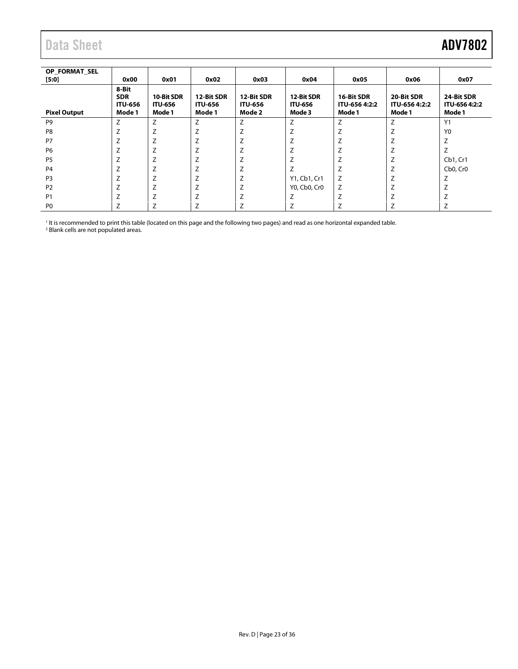<span id="page-22-0"></span>

| OP FORMAT SEL<br>[5:0] | 0x00                                            | 0x01                                   | 0x02                                   | 0x03                                   | 0x04                                   | 0x05                                  | 0x06                                  | 0x07                                  |
|------------------------|-------------------------------------------------|----------------------------------------|----------------------------------------|----------------------------------------|----------------------------------------|---------------------------------------|---------------------------------------|---------------------------------------|
| <b>Pixel Output</b>    | 8-Bit<br><b>SDR</b><br><b>ITU-656</b><br>Mode 1 | 10-Bit SDR<br><b>ITU-656</b><br>Mode 1 | 12-Bit SDR<br><b>ITU-656</b><br>Mode 1 | 12-Bit SDR<br><b>ITU-656</b><br>Mode 2 | 12-Bit SDR<br><b>ITU-656</b><br>Mode 3 | 16-Bit SDR<br>ITU-656 4:2:2<br>Mode 1 | 20-Bit SDR<br>ITU-656 4:2:2<br>Mode 1 | 24-Bit SDR<br>ITU-656 4:2:2<br>Mode 1 |
| P <sub>9</sub>         | Z                                               | Z                                      | Z                                      | Z                                      | Z                                      | Z                                     | Z                                     | Y1                                    |
| P <sub>8</sub>         | ∠                                               | 7<br>∠                                 | Z                                      |                                        | Z                                      |                                       | Z                                     | Y <sub>0</sub>                        |
| P7                     | $\overline{ }$                                  | 7<br>∸                                 | 7<br>∠                                 | 7                                      | Z                                      |                                       | 7                                     |                                       |
| P <sub>6</sub>         |                                                 | ∠                                      |                                        |                                        |                                        |                                       | Z                                     |                                       |
| P <sub>5</sub>         | 7                                               | $\overline{ }$                         | Z                                      | Z                                      | Z                                      |                                       | $\overline{7}$<br>∠                   | Cb1, Cr1                              |
| P <sub>4</sub>         | 7                                               | 7<br>∠                                 |                                        | Z                                      | Z                                      | Z                                     | $\overline{7}$                        | Cb <sub>0</sub> , Cr <sub>0</sub>     |
| P <sub>3</sub>         | 7                                               | $\overline{ }$<br>∸                    | Z                                      | 7                                      | Y1, Cb1, Cr1                           | Z                                     | $\overline{\phantom{a}}$<br>L         |                                       |
| P <sub>2</sub>         | $\overline{ }$                                  | $\overline{ }$<br>∸                    | L                                      | Z                                      | Y0, Cb0, Cr0                           | Z                                     | $\overline{7}$<br>∠                   |                                       |
| <b>P1</b>              |                                                 | 7                                      |                                        |                                        | 7                                      | 7                                     | 7                                     |                                       |
| P <sub>0</sub>         | $\overline{ }$                                  | 7                                      |                                        |                                        |                                        |                                       |                                       |                                       |

<sup>1</sup> It is recommended to print this table (located on this page and the following two pages) and read as one horizontal expanded table.

<sup>2</sup> Blank cells are not populated areas.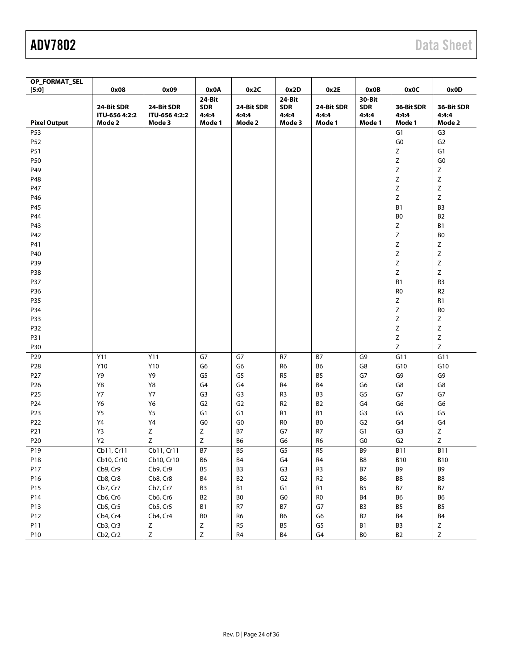| OP_FORMAT_SEL       |                                       |                                       |                                         |                               |                                         |                               |                                         |                               |                               |
|---------------------|---------------------------------------|---------------------------------------|-----------------------------------------|-------------------------------|-----------------------------------------|-------------------------------|-----------------------------------------|-------------------------------|-------------------------------|
| $[5:0]$             | 0x08                                  | 0x09                                  | 0x0A                                    | 0x2C                          | 0x2D                                    | 0x2E                          | 0x0B                                    | 0x0C                          | 0x0D                          |
| <b>Pixel Output</b> | 24-Bit SDR<br>ITU-656 4:2:2<br>Mode 2 | 24-Bit SDR<br>ITU-656 4:2:2<br>Mode 3 | 24-Bit<br><b>SDR</b><br>4:4:4<br>Mode 1 | 24-Bit SDR<br>4:4:4<br>Mode 2 | 24-Bit<br><b>SDR</b><br>4:4:4<br>Mode 3 | 24-Bit SDR<br>4:4:4<br>Mode 1 | 30-Bit<br><b>SDR</b><br>4:4:4<br>Mode 1 | 36-Bit SDR<br>4:4:4<br>Mode 1 | 36-Bit SDR<br>4:4:4<br>Mode 2 |
| P53                 |                                       |                                       |                                         |                               |                                         |                               |                                         | G <sub>1</sub>                | G <sub>3</sub>                |
| P52                 |                                       |                                       |                                         |                               |                                         |                               |                                         | G <sub>0</sub>                | G <sub>2</sub>                |
| P51                 |                                       |                                       |                                         |                               |                                         |                               |                                         | $\mathsf Z$                   | G1                            |
| P50                 |                                       |                                       |                                         |                               |                                         |                               |                                         | $\mathsf Z$                   | ${\sf G0}$                    |
| P49                 |                                       |                                       |                                         |                               |                                         |                               |                                         | $\mathsf Z$                   | $\mathsf Z$                   |
| P48                 |                                       |                                       |                                         |                               |                                         |                               |                                         | $\mathsf Z$                   | Z                             |
| P47                 |                                       |                                       |                                         |                               |                                         |                               |                                         | $\mathsf Z$                   | Z                             |
| P46                 |                                       |                                       |                                         |                               |                                         |                               |                                         | $\mathsf Z$                   | Z                             |
| P45                 |                                       |                                       |                                         |                               |                                         |                               |                                         | B <sub>1</sub>                | B <sub>3</sub>                |
| P44                 |                                       |                                       |                                         |                               |                                         |                               |                                         | B <sub>0</sub>                | B <sub>2</sub>                |
| P43                 |                                       |                                       |                                         |                               |                                         |                               |                                         | $\mathsf Z$                   | B1                            |
| P42                 |                                       |                                       |                                         |                               |                                         |                               |                                         | $\mathsf Z$                   | B <sub>0</sub>                |
| P41                 |                                       |                                       |                                         |                               |                                         |                               |                                         | $\mathsf Z$                   | Ζ                             |
| P40                 |                                       |                                       |                                         |                               |                                         |                               |                                         | $\mathsf Z$                   | Ζ                             |
| P39                 |                                       |                                       |                                         |                               |                                         |                               |                                         | $\mathsf Z$                   | Z                             |
| P38                 |                                       |                                       |                                         |                               |                                         |                               |                                         | $\mathsf Z$                   | Z                             |
| P37                 |                                       |                                       |                                         |                               |                                         |                               |                                         | R <sub>1</sub>                | R <sub>3</sub>                |
| P36                 |                                       |                                       |                                         |                               |                                         |                               |                                         | R <sub>0</sub>                | R <sub>2</sub>                |
| P35                 |                                       |                                       |                                         |                               |                                         |                               |                                         | $\mathsf Z$                   | R1                            |
| P34                 |                                       |                                       |                                         |                               |                                         |                               |                                         | $\mathsf Z$                   | R <sub>0</sub>                |
| P33                 |                                       |                                       |                                         |                               |                                         |                               |                                         | $\mathsf Z$                   | Z                             |
| P32                 |                                       |                                       |                                         |                               |                                         |                               |                                         | $\mathsf Z$                   | Z                             |
| P31                 |                                       |                                       |                                         |                               |                                         |                               |                                         | $\mathsf Z$                   | Z                             |
| P30                 |                                       |                                       |                                         |                               |                                         |                               |                                         | $\mathsf Z$                   | $\mathsf Z$                   |
| P <sub>29</sub>     | Y11                                   | Y11                                   | G7                                      | G7                            | R7                                      | <b>B7</b>                     | G <sub>9</sub>                          | G11                           | G11                           |
| P <sub>28</sub>     | Y10                                   | Y10                                   | G6                                      | G6                            | R <sub>6</sub>                          | B6                            | G8                                      | G10                           | G10                           |
| P <sub>27</sub>     | Y9                                    | Υ9                                    | G5                                      | G5                            | R <sub>5</sub>                          | B <sub>5</sub>                | G7                                      | G9                            | G9                            |
| P <sub>26</sub>     | Y8                                    | Y8                                    | G4                                      | G4                            | R <sub>4</sub>                          | <b>B4</b>                     | G6                                      | G8                            | G8                            |
| P <sub>25</sub>     | Y7                                    | Y7                                    | G <sub>3</sub>                          | G <sub>3</sub>                | R <sub>3</sub>                          | B <sub>3</sub>                | G <sub>5</sub>                          | G7                            | G7                            |
| P24                 | Y6                                    | Y6                                    | G <sub>2</sub>                          | G <sub>2</sub>                | R <sub>2</sub>                          | <b>B2</b>                     | G4                                      | G <sub>6</sub>                | G6                            |
| P <sub>23</sub>     | Y5                                    | Y5                                    | G <sub>1</sub>                          | G1                            | R1                                      | <b>B1</b>                     | G <sub>3</sub>                          | G <sub>5</sub>                | G <sub>5</sub>                |
| P22                 | Y4                                    | Y4                                    | G <sub>0</sub>                          | G0                            | R <sub>0</sub>                          | B0                            | G <sub>2</sub>                          | G <sub>4</sub>                | G <sub>4</sub>                |
| P21                 | Y3                                    | $\mathsf Z$                           | Ζ                                       | B7                            | G7                                      | R7                            | G1                                      | G <sub>3</sub>                | Ζ                             |
| P <sub>20</sub>     | <b>Y2</b>                             | $\mathsf Z$                           | Ζ                                       | <b>B6</b>                     | G6                                      | R <sub>6</sub>                | G <sub>0</sub>                          | G <sub>2</sub>                | Z                             |
| P19                 | Cb11, Cr11                            | Cb11, Cr11                            | <b>B7</b>                               | <b>B5</b>                     | G <sub>5</sub>                          | R <sub>5</sub>                | B <sub>9</sub>                          | <b>B11</b>                    | <b>B11</b>                    |
| P18                 | Cb10, Cr10                            | Cb10, Cr10                            | B6                                      | <b>B4</b>                     | G4                                      | ${\sf R4}$                    | B8                                      | <b>B10</b>                    | <b>B10</b>                    |
| P17                 | Cb9, Cr9                              | Cb9, Cr9                              | B5                                      | B <sub>3</sub>                | G3                                      | R <sub>3</sub>                | $\mathsf B7$                            | B9                            | B9                            |
| P16                 | Cb8, Cr8                              | Cb8, Cr8                              | B4                                      | <b>B2</b>                     | G <sub>2</sub>                          | R2                            | B6                                      | B8                            | B8                            |
| P15                 | Cb7, Cr7                              | Cb7, Cr7                              | B <sub>3</sub>                          | <b>B1</b>                     | G1                                      | R1                            | B5                                      | $\mathsf B7$                  | <b>B7</b>                     |
| P14                 | Cb6, Cr6                              | Cb6, Cr6                              | B <sub>2</sub>                          | B <sub>0</sub>                | G <sub>0</sub>                          | R <sub>0</sub>                | <b>B4</b>                               | B6                            | B6                            |
| P13                 | Cb5, Cr5                              | Cb5, Cr5                              | <b>B1</b>                               | R7                            | <b>B7</b>                               | G7                            | B <sub>3</sub>                          | B <sub>5</sub>                | B <sub>5</sub>                |
| P12                 | Cb4, Cr4                              | Cb4, Cr4                              | B <sub>0</sub>                          | R <sub>6</sub>                | <b>B6</b>                               | G6                            | B2                                      | <b>B4</b>                     | <b>B4</b>                     |
| P11                 | Cb3, Cr3                              | Ζ                                     | Ζ                                       | R5                            | <b>B5</b>                               | G5                            | <b>B1</b>                               | B <sub>3</sub>                | $\mathsf Z$                   |
| P10                 | Cb2, Cr2                              | $\mathsf Z$                           | $\mathsf{Z}$                            | R4                            | <b>B4</b>                               | G4                            | B0                                      | <b>B2</b>                     | $\mathsf Z$                   |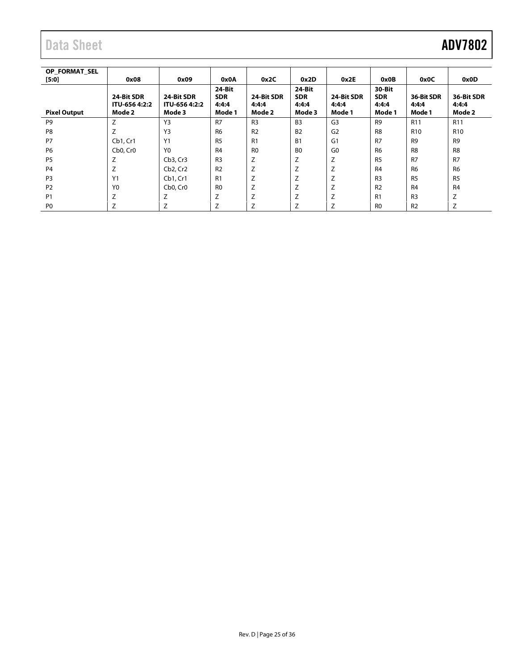| OP FORMAT SEL<br>$[5:0]$ | 0x08                                  | 0x09                                  | 0x0A                                    | 0x2C                          | 0x2D                                    | 0x2E                          | 0x0B                                    | 0x0C                          | 0x0D                          |
|--------------------------|---------------------------------------|---------------------------------------|-----------------------------------------|-------------------------------|-----------------------------------------|-------------------------------|-----------------------------------------|-------------------------------|-------------------------------|
| <b>Pixel Output</b>      | 24-Bit SDR<br>ITU-656 4:2:2<br>Mode 2 | 24-Bit SDR<br>ITU-656 4:2:2<br>Mode 3 | 24-Bit<br><b>SDR</b><br>4:4:4<br>Mode 1 | 24-Bit SDR<br>4:4:4<br>Mode 2 | 24-Bit<br><b>SDR</b><br>4:4:4<br>Mode 3 | 24-Bit SDR<br>4:4:4<br>Mode 1 | 30-Bit<br><b>SDR</b><br>4:4:4<br>Mode 1 | 36-Bit SDR<br>4:4:4<br>Mode 1 | 36-Bit SDR<br>4:4:4<br>Mode 2 |
| P <sub>9</sub>           | Z                                     | Y3                                    | R7                                      | R <sub>3</sub>                | <b>B3</b>                               | G <sub>3</sub>                | R <sub>9</sub>                          | R <sub>11</sub>               | R <sub>11</sub>               |
| P <sub>8</sub>           | Z                                     | Y3                                    | R <sub>6</sub>                          | R <sub>2</sub>                | <b>B2</b>                               | G <sub>2</sub>                | R <sub>8</sub>                          | R <sub>10</sub>               | R <sub>10</sub>               |
| P7                       | Cb1, Cr1                              | Y1                                    | R <sub>5</sub>                          | R1                            | B <sub>1</sub>                          | G1                            | R7                                      | R <sub>9</sub>                | R <sub>9</sub>                |
| P <sub>6</sub>           | Cb <sub>0</sub> , Cr <sub>0</sub>     | Y <sub>0</sub>                        | R <sub>4</sub>                          | R <sub>0</sub>                | B <sub>0</sub>                          | G <sub>0</sub>                | R <sub>6</sub>                          | R <sub>8</sub>                | R <sub>8</sub>                |
| P <sub>5</sub>           | Z                                     | Cb <sub>3</sub> , Cr <sub>3</sub>     | R <sub>3</sub>                          | Z                             | Z                                       | Z                             | R <sub>5</sub>                          | R <sub>7</sub>                | R <sub>7</sub>                |
| P <sub>4</sub>           | Z                                     | Cb <sub>2</sub> , Cr <sub>2</sub>     | R <sub>2</sub>                          | Z                             | Ζ                                       | Z                             | R <sub>4</sub>                          | R <sub>6</sub>                | <b>R6</b>                     |
| P <sub>3</sub>           | Y1                                    | Cb1, Cr1                              | R1                                      | Z                             | Z                                       | Z                             | R <sub>3</sub>                          | <b>R5</b>                     | <b>R5</b>                     |
| P <sub>2</sub>           | Y <sub>0</sub>                        | Cb <sub>0</sub> , Cr <sub>0</sub>     | R <sub>0</sub>                          | Z                             | Z                                       | Z                             | R <sub>2</sub>                          | R <sub>4</sub>                | R <sub>4</sub>                |
| P <sub>1</sub>           | Z                                     | Z                                     | Z                                       | 7                             | Z                                       | Z                             | R1                                      | R <sub>3</sub>                | Z                             |
| P <sub>0</sub>           | Z                                     | Z                                     | Z                                       |                               | Z                                       | Z                             | R <sub>0</sub>                          | R <sub>2</sub>                | Z                             |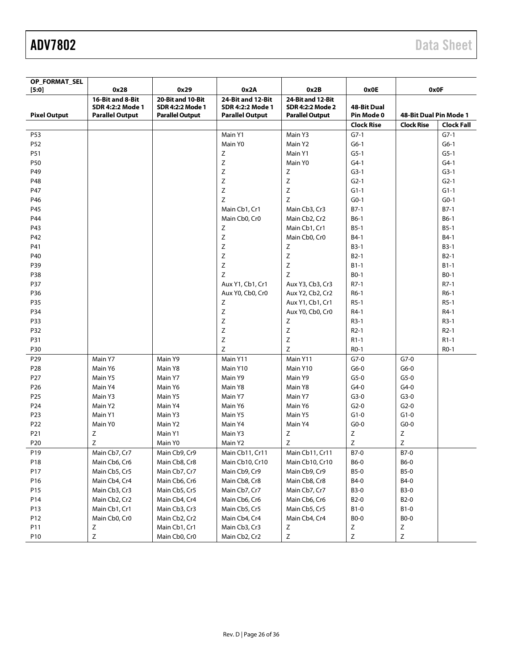| OP_FORMAT_SEL       |                                                                |                                                                 |                                                                        |                                                                        |                           |                        |                   |
|---------------------|----------------------------------------------------------------|-----------------------------------------------------------------|------------------------------------------------------------------------|------------------------------------------------------------------------|---------------------------|------------------------|-------------------|
| [5:0]               | 0x28                                                           | 0x29                                                            | 0x2A                                                                   | 0x2B                                                                   | 0x0E                      |                        | 0x0F              |
| <b>Pixel Output</b> | 16-Bit and 8-Bit<br>SDR 4:2:2 Mode 1<br><b>Parallel Output</b> | 20-Bit and 10-Bit<br>SDR 4:2:2 Mode 1<br><b>Parallel Output</b> | 24-Bit and 12-Bit<br><b>SDR 4:2:2 Mode 1</b><br><b>Parallel Output</b> | 24-Bit and 12-Bit<br><b>SDR 4:2:2 Mode 2</b><br><b>Parallel Output</b> | 48-Bit Dual<br>Pin Mode 0 | 48-Bit Dual Pin Mode 1 |                   |
|                     |                                                                |                                                                 |                                                                        |                                                                        | <b>Clock Rise</b>         | <b>Clock Rise</b>      | <b>Clock Fall</b> |
| P53                 |                                                                |                                                                 | Main Y1                                                                | Main Y3                                                                | $G7-1$                    |                        | $G7-1$            |
| P52                 |                                                                |                                                                 | Main Y0                                                                | Main Y2                                                                | $G6-1$                    |                        | $G6-1$            |
| P51                 |                                                                |                                                                 | Z                                                                      | Main Y1                                                                | $G5-1$                    |                        | $G5-1$            |
| P50                 |                                                                |                                                                 | Z                                                                      | Main Y0                                                                | $G4-1$                    |                        | $G4-1$            |
| P49                 |                                                                |                                                                 | $\mathsf Z$                                                            | Z                                                                      | $G3-1$                    |                        | $G3-1$            |
| P48                 |                                                                |                                                                 | $\mathsf Z$                                                            | Z                                                                      | $G2-1$                    |                        | $G2-1$            |
| P47                 |                                                                |                                                                 | Z                                                                      | Z                                                                      | $G1-1$                    |                        | $G1-1$            |
| P46                 |                                                                |                                                                 | Z                                                                      | Z                                                                      | $G0-1$                    |                        | $G0-1$            |
| P45                 |                                                                |                                                                 | Main Cb1, Cr1                                                          | Main Cb3, Cr3                                                          | $B7-1$                    |                        | $B7-1$            |
| P44                 |                                                                |                                                                 | Main Cb0, Cr0                                                          | Main Cb2, Cr2                                                          | $B6-1$                    |                        | $B6-1$            |
| P43                 |                                                                |                                                                 | Z                                                                      | Main Cb1, Cr1                                                          | $B5-1$                    |                        | $B5-1$            |
| P42                 |                                                                |                                                                 | $\mathsf Z$                                                            | Main Cb0, Cr0                                                          | B4-1                      |                        | $B4-1$            |
| P41                 |                                                                |                                                                 | $\mathsf Z$                                                            | Ζ                                                                      | $B3-1$                    |                        | $B3-1$            |
| P40                 |                                                                |                                                                 | $\mathsf Z$                                                            | Z                                                                      | $B2-1$                    |                        | $B2-1$            |
| P39                 |                                                                |                                                                 | $\mathsf Z$                                                            | Z                                                                      | $B1-1$                    |                        | $B1-1$            |
| P38                 |                                                                |                                                                 | Z                                                                      | Z                                                                      | $B0-1$                    |                        | $BO-1$            |
| P37                 |                                                                |                                                                 | Aux Y1, Cb1, Cr1                                                       | Aux Y3, Cb3, Cr3                                                       | $R7-1$                    |                        | $R7-1$            |
| P36                 |                                                                |                                                                 | Aux Y0, Cb0, Cr0                                                       | Aux Y2, Cb2, Cr2                                                       | $R6-1$                    |                        | $R6-1$            |
| P35                 |                                                                |                                                                 |                                                                        | Aux Y1, Cb1, Cr1                                                       | $R5-1$                    |                        | $R5-1$            |
|                     |                                                                |                                                                 | Z                                                                      |                                                                        |                           |                        |                   |
| P34                 |                                                                |                                                                 | Z                                                                      | Aux Y0, Cb0, Cr0                                                       | R4-1                      |                        | R4-1              |
| P33                 |                                                                |                                                                 | $\mathsf Z$                                                            | Z                                                                      | $R3-1$                    |                        | $R3-1$            |
| P32                 |                                                                |                                                                 | $\mathsf Z$                                                            | Z                                                                      | $R2-1$                    |                        | $R2-1$            |
| P31                 |                                                                |                                                                 | $\mathsf Z$                                                            | Z                                                                      | $R1-1$                    |                        | $R1-1$            |
| P30                 |                                                                |                                                                 | $\mathsf Z$                                                            | Z                                                                      | $RO-1$                    |                        | $RO-1$            |
| P <sub>29</sub>     | Main Y7                                                        | Main Y9                                                         | Main Y11                                                               | Main Y11                                                               | $G7-0$                    | $G7-0$                 |                   |
| P <sub>28</sub>     | Main Y6                                                        | Main Y8                                                         | Main Y10                                                               | Main Y10                                                               | $G6-0$                    | $G6-0$                 |                   |
| P <sub>27</sub>     | Main Y5                                                        | Main Y7                                                         | Main Y9                                                                | Main Y9                                                                | $G5-0$                    | $G5-0$                 |                   |
| P <sub>26</sub>     | Main Y4                                                        | Main Y6                                                         | Main Y8                                                                | Main Y8                                                                | $G4-0$                    | $G4-0$                 |                   |
| P <sub>25</sub>     | Main Y3                                                        | Main Y5                                                         | Main Y7                                                                | Main Y7                                                                | $G3-0$                    | $G3-0$                 |                   |
| P24                 | Main Y2                                                        | Main Y4                                                         | Main Y6                                                                | Main Y6                                                                | $G2-0$                    | $G2-0$                 |                   |
| P <sub>23</sub>     | Main Y1                                                        | Main Y3                                                         | Main Y5                                                                | Main Y5                                                                | $G1-0$                    | $G1-0$                 |                   |
| P <sub>22</sub>     | Main Y0                                                        | Main Y2                                                         | Main Y4                                                                | Main Y4                                                                | $G0-0$                    | $G0-0$                 |                   |
| P21                 | Z                                                              | Main Y1                                                         | Main Y3                                                                | Ζ                                                                      | Ζ                         | Ζ                      |                   |
| P <sub>20</sub>     | Z                                                              | Main Y0                                                         | Main Y2                                                                | Z                                                                      | Ζ                         | Ζ                      |                   |
| P19                 | Main Cb7, Cr7                                                  | Main Cb9, Cr9                                                   | Main Cb11, Cr11                                                        | Main Cb11, Cr11                                                        | $B7-0$                    | $B7-0$                 |                   |
| P18                 | Main Cb6, Cr6                                                  | Main Cb8, Cr8                                                   | Main Cb10, Cr10                                                        | Main Cb10, Cr10                                                        | B6-0                      | <b>B6-0</b>            |                   |
| P17                 | Main Cb5, Cr5                                                  | Main Cb7, Cr7                                                   | Main Cb9, Cr9                                                          | Main Cb9, Cr9                                                          | <b>B5-0</b>               | <b>B5-0</b>            |                   |
| P16                 | Main Cb4, Cr4                                                  | Main Cb6, Cr6                                                   | Main Cb8, Cr8                                                          | Main Cb8, Cr8                                                          | B4-0                      | B4-0                   |                   |
| P15                 | Main Cb3, Cr3                                                  | Main Cb5, Cr5                                                   | Main Cb7, Cr7                                                          | Main Cb7, Cr7                                                          | <b>B3-0</b>               | <b>B3-0</b>            |                   |
| P14                 | Main Cb2, Cr2                                                  | Main Cb4, Cr4                                                   | Main Cb6, Cr6                                                          | Main Cb6, Cr6                                                          | B2-0                      | B <sub>2</sub> -0      |                   |
| P13                 | Main Cb1, Cr1                                                  | Main Cb3, Cr3                                                   | Main Cb5, Cr5                                                          | Main Cb5, Cr5                                                          | <b>B1-0</b>               | $B1-0$                 |                   |
| P12                 | Main Cb0, Cr0                                                  | Main Cb2, Cr2                                                   | Main Cb4, Cr4                                                          | Main Cb4, Cr4                                                          | <b>BO-0</b>               | <b>BO-0</b>            |                   |
| P11                 | Ζ                                                              | Main Cb1, Cr1                                                   | Main Cb3, Cr3                                                          | Ζ                                                                      | Ζ                         | Ζ                      |                   |
| P10                 | Ζ                                                              | Main Cb0, Cr0                                                   | Main Cb2, Cr2                                                          | Ζ                                                                      | $\mathsf Z$               | Ζ                      |                   |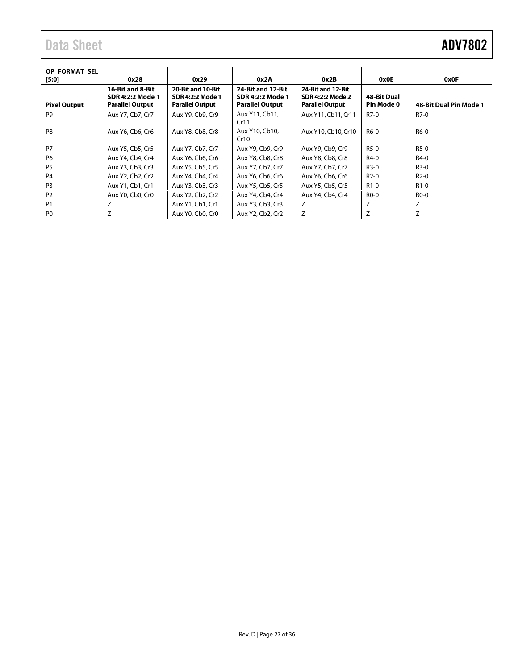| OP FORMAT SEL       |                        |                        |                        |                        |                    |                        |
|---------------------|------------------------|------------------------|------------------------|------------------------|--------------------|------------------------|
| $[5:0]$             | 0x28                   | 0x29                   | 0x2A                   | 0x2B                   | 0x0E               | 0x0F                   |
|                     | 16-Bit and 8-Bit       | 20-Bit and 10-Bit      | 24-Bit and 12-Bit      | 24-Bit and 12-Bit      |                    |                        |
|                     | SDR 4:2:2 Mode 1       | SDR 4:2:2 Mode 1       | SDR 4:2:2 Mode 1       | SDR 4:2:2 Mode 2       | <b>48-Bit Dual</b> |                        |
| <b>Pixel Output</b> | <b>Parallel Output</b> | <b>Parallel Output</b> | <b>Parallel Output</b> | <b>Parallel Output</b> | Pin Mode 0         | 48-Bit Dual Pin Mode 1 |
| P <sub>9</sub>      | Aux Y7, Cb7, Cr7       | Aux Y9, Cb9, Cr9       | Aux Y11, Cb11,         | Aux Y11, Cb11, Cr11    | R7-0               | R7-0                   |
|                     |                        |                        | Cr11                   |                        |                    |                        |
| P <sub>8</sub>      | Aux Y6, Cb6, Cr6       | Aux Y8, Cb8, Cr8       | Aux Y10, Cb10,         | Aux Y10, Cb10, Cr10    | R6-0               | R6-0                   |
|                     |                        |                        | Cr10                   |                        |                    |                        |
| P7                  | Aux Y5, Cb5, Cr5       | Aux Y7, Cb7, Cr7       | Aux Y9, Cb9, Cr9       | Aux Y9, Cb9, Cr9       | R5-0               | R5-0                   |
| P <sub>6</sub>      | Aux Y4, Cb4, Cr4       | Aux Y6, Cb6, Cr6       | Aux Y8, Cb8, Cr8       | Aux Y8, Cb8, Cr8       | R4-0               | R4-0                   |
| <b>P5</b>           | Aux Y3, Cb3, Cr3       | Aux Y5, Cb5, Cr5       | Aux Y7, Cb7, Cr7       | Aux Y7, Cb7, Cr7       | R3-0               | R3-0                   |
| P <sub>4</sub>      | Aux Y2, Cb2, Cr2       | Aux Y4, Cb4, Cr4       | Aux Y6, Cb6, Cr6       | Aux Y6, Cb6, Cr6       | $R2-0$             | $R2-0$                 |
| P <sub>3</sub>      | Aux Y1, Cb1, Cr1       | Aux Y3, Cb3, Cr3       | Aux Y5, Cb5, Cr5       | Aux Y5, Cb5, Cr5       | $R1-0$             | R <sub>1</sub> -0      |
| P <sub>2</sub>      | Aux Y0, Cb0, Cr0       | Aux Y2, Cb2, Cr2       | Aux Y4, Cb4, Cr4       | Aux Y4, Cb4, Cr4       | R <sub>0</sub> -0  | R <sub>0</sub> -0      |
| <b>P1</b>           | Z                      | Aux Y1, Cb1, Cr1       | Aux Y3, Cb3, Cr3       | Z                      | Z                  | Z                      |
| P <sub>0</sub>      | Z                      | Aux Y0, Cb0, Cr0       | Aux Y2, Cb2, Cr2       | Z                      | Z                  | Z                      |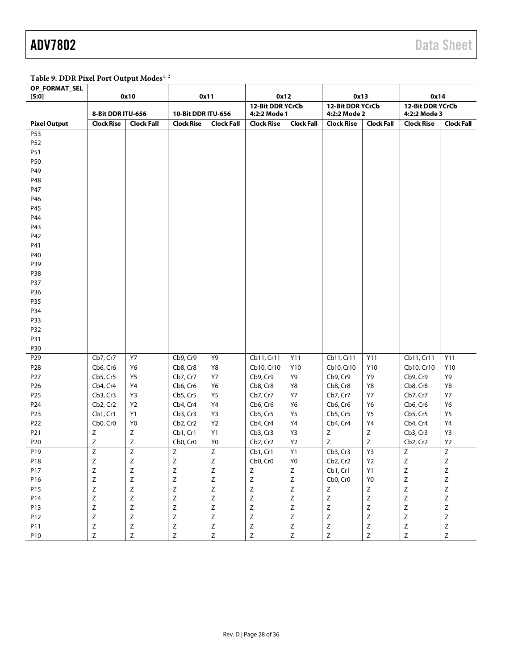### <span id="page-27-0"></span>Table 9. DDR Pixel Port Output Modes<sup>1, 2</sup>

| OP_FORMAT_SEL<br>[5:0] |                   | 0x10              |                    | 0x11              |                                  | 0x12           | 0x13                             |                   | 0x14                              |                   |
|------------------------|-------------------|-------------------|--------------------|-------------------|----------------------------------|----------------|----------------------------------|-------------------|-----------------------------------|-------------------|
|                        | 8-Bit DDR ITU-656 |                   | 10-Bit DDR ITU-656 |                   | 12-Bit DDR YCrCb<br>4:2:2 Mode 1 |                | 12-Bit DDR YCrCb<br>4:2:2 Mode 2 |                   | 12-Bit DDR YCrCb<br>4:2:2 Mode 3  |                   |
| <b>Pixel Output</b>    | <b>Clock Rise</b> | <b>Clock Fall</b> | <b>Clock Rise</b>  | <b>Clock Fall</b> | <b>Clock Rise</b>                | Clock Fall     | <b>Clock Rise</b>                | <b>Clock Fall</b> | <b>Clock Rise</b>                 | <b>Clock Fall</b> |
| P53                    |                   |                   |                    |                   |                                  |                |                                  |                   |                                   |                   |
| P52                    |                   |                   |                    |                   |                                  |                |                                  |                   |                                   |                   |
| P51                    |                   |                   |                    |                   |                                  |                |                                  |                   |                                   |                   |
| P50                    |                   |                   |                    |                   |                                  |                |                                  |                   |                                   |                   |
| P49                    |                   |                   |                    |                   |                                  |                |                                  |                   |                                   |                   |
| P48                    |                   |                   |                    |                   |                                  |                |                                  |                   |                                   |                   |
| P47                    |                   |                   |                    |                   |                                  |                |                                  |                   |                                   |                   |
| P46                    |                   |                   |                    |                   |                                  |                |                                  |                   |                                   |                   |
| P45                    |                   |                   |                    |                   |                                  |                |                                  |                   |                                   |                   |
| P44                    |                   |                   |                    |                   |                                  |                |                                  |                   |                                   |                   |
| P43                    |                   |                   |                    |                   |                                  |                |                                  |                   |                                   |                   |
| P42                    |                   |                   |                    |                   |                                  |                |                                  |                   |                                   |                   |
| P41                    |                   |                   |                    |                   |                                  |                |                                  |                   |                                   |                   |
| P40                    |                   |                   |                    |                   |                                  |                |                                  |                   |                                   |                   |
| P39                    |                   |                   |                    |                   |                                  |                |                                  |                   |                                   |                   |
| P38                    |                   |                   |                    |                   |                                  |                |                                  |                   |                                   |                   |
| P37                    |                   |                   |                    |                   |                                  |                |                                  |                   |                                   |                   |
| P36                    |                   |                   |                    |                   |                                  |                |                                  |                   |                                   |                   |
| P35                    |                   |                   |                    |                   |                                  |                |                                  |                   |                                   |                   |
| P34                    |                   |                   |                    |                   |                                  |                |                                  |                   |                                   |                   |
| P33                    |                   |                   |                    |                   |                                  |                |                                  |                   |                                   |                   |
| P32                    |                   |                   |                    |                   |                                  |                |                                  |                   |                                   |                   |
| P31                    |                   |                   |                    |                   |                                  |                |                                  |                   |                                   |                   |
| P30                    |                   |                   |                    |                   |                                  |                |                                  |                   |                                   |                   |
| P29                    | Cb7, Cr7          | Y7                | Cb9, Cr9           | Y9                | Cb11, Cr11                       | Y11            | Cb11, Cr11                       | Y11               | Cb11, Cr11                        | Y11               |
| P <sub>28</sub>        | Cb6, Cr6          | Υ6                | Cb8, Cr8           | Y8                | Cb10, Cr10                       | Y10            | Cb10, Cr10                       | Y10               | Cb10, Cr10                        | Y10               |
| P <sub>27</sub>        | Cb5, Cr5          | Y5                | Cb7, Cr7           | Y7                | Cb9, Cr9                         | Y9             | Cb9, Cr9                         | Y9                | Cb9, Cr9                          | Υ9                |
| P <sub>26</sub>        | Cb4, Cr4          | Υ4                | Cb6, Cr6           | Y6                | Cb8, Cr8                         | Y8             | Cb8, Cr8                         | Y8                | Cb8, Cr8                          | Y8                |
| P <sub>25</sub>        | Cb3, Cr3          | Y3                | Cb5, Cr5           | <b>Y5</b>         | Cb7, Cr7                         | Y7             | Cb7, Cr7                         | <b>Y7</b>         | Cb7, Cr7                          | Y7                |
| P24                    | Cb2, Cr2          | Y2                | Cb4, Cr4           | Y4                | Cb6, Cr6                         | Y6             | Cb6, Cr6                         | Y6                | Cb6, Cr6                          | Y6                |
| P23                    | Cb1, Cr1          | Y1                | Cb3, Cr3           | Y3                | Cb5, Cr5                         | Y5             | Cb5, Cr5                         | <b>Y5</b>         | Cb5, Cr5                          | Y5                |
| P22                    | Cb0, Cr0          | Y <sub>0</sub>    | Cb2, Cr2           | Y2                | Cb4, Cr4                         | Y4             | Cb4, Cr4                         | Y4                | Cb4, Cr4                          | Y4                |
| P21                    | Ζ                 | Ζ                 | Cb1, Cr1           | Y1                | Cb3, Cr3                         | Y3             | $\mathsf Z$                      | $\mathsf Z$       | Cb3, Cr3                          | Y3                |
| P <sub>20</sub>        | Ζ                 | Ζ                 | Cb0, Cr0           | Y0                | Cb2, Cr2                         | Y <sub>2</sub> | $\mathsf Z$                      | Z                 | Cb <sub>2</sub> , Cr <sub>2</sub> | Y2                |
| P19                    | Z                 | Z                 | $\overline{z}$     | Ζ                 | Cb1, Cr1                         | Y1             | Cb3, Cr3                         | Y3                | Ζ                                 | $\overline{z}$    |
| P18                    | $\overline{7}$    | $\overline{z}$    | $\overline{z}$     | $\overline{z}$    | Cb0, Cr0                         | Y <sub>0</sub> | Cb2, Cr2                         | Y2                | Z                                 | $\overline{7}$    |
| P17                    | $\mathsf Z$       | $\mathsf Z$       | $\mathsf Z$        | $\mathsf Z$       | $\mathsf Z$                      | $\mathsf Z$    | Cb1, Cr1                         | Y1                | $\mathsf Z$                       | $\mathsf Z$       |
| P16                    | $\mathsf Z$       | $\mathsf Z$       | $\mathsf Z$        | Ζ                 | $\mathsf Z$                      | $\mathsf Z$    | Cb0, Cr0                         | Y <sub>0</sub>    | Z                                 | $\mathsf Z$       |
| P15                    | $\mathsf Z$       | $\mathsf Z$       | $\mathsf Z$        | $\mathsf Z$       | $\mathsf Z$                      | $\mathsf Z$    | $\mathsf Z$                      | Z                 | $\mathsf Z$                       | $\mathsf Z$       |
| P14                    | $\mathsf Z$       | $\mathsf Z$       | $\mathsf Z$        | $\mathsf Z$       | $\mathsf Z$                      | $\mathsf Z$    | $\mathsf Z$                      | $\mathsf Z$       | $\mathsf Z$                       | $\mathsf Z$       |
| P13                    | $\mathsf Z$       | $\mathsf Z$       | $\mathsf Z$        | $\mathsf Z$       | $\mathsf Z$                      | $\mathsf Z$    | $\mathsf Z$                      | $\mathsf Z$       | $\mathsf Z$                       | $\mathsf Z$       |
| P12                    | $\mathsf Z$       | $\mathsf Z$       | $\mathsf Z$        | $\mathsf Z$       | $\mathsf Z$                      | $\mathsf Z$    | $\mathsf Z$                      | $\mathsf Z$       | $\mathsf Z$                       | $\mathsf Z$       |
| P11                    | $\mathsf Z$       | $\mathsf Z$       | $\mathsf Z$        | $\mathsf Z$       | $\mathsf Z$                      | $\mathsf Z$    | $\mathsf Z$                      | $\mathsf Z$       | $\mathsf Z$                       | $\mathsf Z$       |
| P10                    | Z                 | $\mathsf Z$       | $\mathsf{Z}$       | $\mathsf Z$       | $\mathsf Z$                      | $\mathsf Z$    | Z                                | $\mathsf Z$       | $\mathsf Z$                       | Z                 |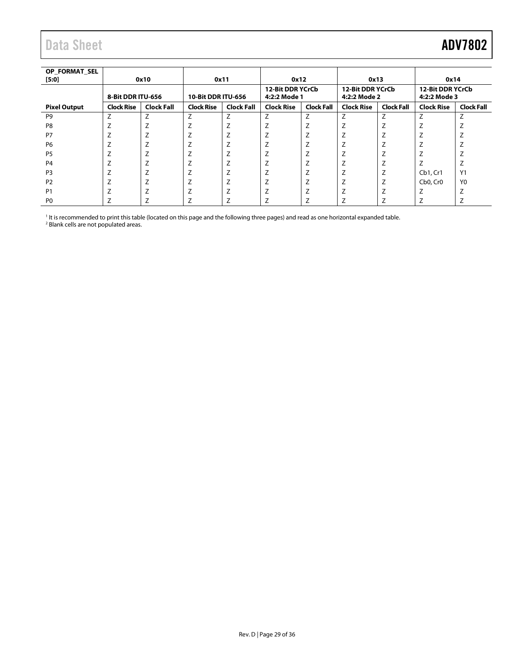<span id="page-28-0"></span>

| OP FORMAT SEL<br>[5:0] |                   | 0x10              |                           | 0x11              | 0x12                                    |                     | 0x13                                    |                   | 0x14                                    |                   |
|------------------------|-------------------|-------------------|---------------------------|-------------------|-----------------------------------------|---------------------|-----------------------------------------|-------------------|-----------------------------------------|-------------------|
|                        | 8-Bit DDR ITU-656 |                   | <b>10-Bit DDR ITU-656</b> |                   | <b>12-Bit DDR YCrCb</b><br>4:2:2 Mode 1 |                     | <b>12-Bit DDR YCrCb</b><br>4:2:2 Mode 2 |                   | <b>12-Bit DDR YCrCb</b><br>4:2:2 Mode 3 |                   |
| <b>Pixel Output</b>    | <b>Clock Rise</b> | <b>Clock Fall</b> | <b>Clock Rise</b>         | <b>Clock Fall</b> | <b>Clock Rise</b>                       | <b>Clock Fall</b>   | <b>Clock Rise</b>                       | <b>Clock Fall</b> | <b>Clock Rise</b>                       | <b>Clock Fall</b> |
| P <sub>9</sub>         | Z                 | Z                 | Z                         | Z                 | Z                                       | Z                   | Z                                       | $\overline{ }$    | $\overline{ }$                          | 7                 |
| P <sub>8</sub>         |                   | ∠                 |                           |                   |                                         | 7                   |                                         |                   |                                         |                   |
| P7                     |                   | ∸                 |                           |                   | ∸                                       | ⇁<br>∠              | ⇁                                       |                   |                                         |                   |
| P <sub>6</sub>         |                   | ∠                 |                           |                   |                                         | $\overline{ }$      | 7                                       |                   |                                         |                   |
| P <sub>5</sub>         |                   | ∸                 |                           |                   |                                         | 7                   |                                         |                   |                                         |                   |
| P <sub>4</sub>         |                   | L                 |                           |                   |                                         | $\overline{ }$<br>∠ | 7<br>∸                                  |                   |                                         | ∠                 |
| P <sub>3</sub>         |                   | ⇁<br>∠            |                           | 7                 | ⇁                                       | $\overline{ }$      | $\overline{ }$                          |                   | Cb1, Cr1                                | Y1                |
| P <sub>2</sub>         |                   |                   |                           |                   |                                         | $\overline{ }$      | $\overline{ }$                          |                   | Cb <sub>0</sub> , Cr <sub>0</sub>       | Y <sub>0</sub>    |
| P <sub>1</sub>         |                   | ∸                 |                           |                   | $\overline{ }$<br>∸                     | $\overline{ }$<br>∠ | 7                                       |                   |                                         | $\overline{ }$    |
| P <sub>0</sub>         |                   |                   |                           |                   |                                         |                     |                                         |                   |                                         |                   |

<sup>1</sup> It is recommended to print this table (located on this page and the following three pages) and read as one horizontal expanded table.<br><sup>2</sup> Blank cells are not populated areas.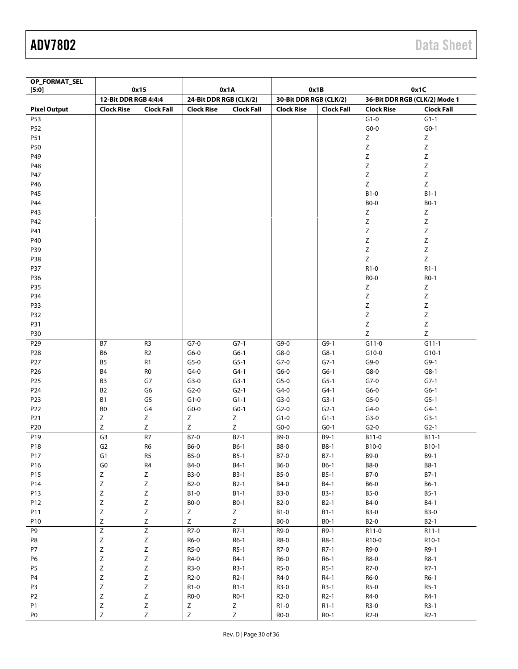| OP_FORMAT_SEL<br>[5:0] | 0x15                 |                   |                        | 0x1A              |                        | 0x1B              | 0x1C                          |                   |
|------------------------|----------------------|-------------------|------------------------|-------------------|------------------------|-------------------|-------------------------------|-------------------|
|                        | 12-Bit DDR RGB 4:4:4 |                   | 24-Bit DDR RGB (CLK/2) |                   | 30-Bit DDR RGB (CLK/2) |                   | 36-Bit DDR RGB (CLK/2) Mode 1 |                   |
| <b>Pixel Output</b>    | <b>Clock Rise</b>    | <b>Clock Fall</b> | <b>Clock Rise</b>      | <b>Clock Fall</b> | <b>Clock Rise</b>      | <b>Clock Fall</b> | <b>Clock Rise</b>             | <b>Clock Fall</b> |
| P53                    |                      |                   |                        |                   |                        |                   | $G1-0$                        | $G1-1$            |
| P52                    |                      |                   |                        |                   |                        |                   | $G_0-0$                       | $G0-1$            |
| P51                    |                      |                   |                        |                   |                        |                   | $\mathsf Z$                   | Ζ                 |
| P50                    |                      |                   |                        |                   |                        |                   | Ζ                             | Ζ                 |
| P49                    |                      |                   |                        |                   |                        |                   | Z                             | Z                 |
| P48                    |                      |                   |                        |                   |                        |                   | $\mathsf Z$                   | $\mathsf Z$       |
| P47                    |                      |                   |                        |                   |                        |                   | $\mathsf Z$                   | Ζ                 |
| P46                    |                      |                   |                        |                   |                        |                   | Z                             | Z                 |
| P45                    |                      |                   |                        |                   |                        |                   | $B1-0$                        | $B1-1$            |
| P44                    |                      |                   |                        |                   |                        |                   | <b>BO-0</b>                   | $B0-1$            |
| P43                    |                      |                   |                        |                   |                        |                   | Ζ                             | Ζ                 |
| P42                    |                      |                   |                        |                   |                        |                   | $\mathsf Z$                   | Ζ                 |
| P41                    |                      |                   |                        |                   |                        |                   | $\mathsf Z$                   | $\mathsf Z$       |
| P40                    |                      |                   |                        |                   |                        |                   | $\mathsf Z$                   | $\mathsf Z$       |
| P39                    |                      |                   |                        |                   |                        |                   | Z                             | $\mathsf Z$       |
| P38                    |                      |                   |                        |                   |                        |                   | Z                             | Z                 |
| P37                    |                      |                   |                        |                   |                        |                   | $R1-0$                        | $R1-1$            |
| P36                    |                      |                   |                        |                   |                        |                   | $RO-0$                        | R <sub>0</sub> -1 |
| P35                    |                      |                   |                        |                   |                        |                   | Ζ                             | Ζ                 |
| P34                    |                      |                   |                        |                   |                        |                   | $\mathsf Z$                   | Ζ                 |
| P33                    |                      |                   |                        |                   |                        |                   | $\mathsf Z$                   | $\mathsf Z$       |
| P32                    |                      |                   |                        |                   |                        |                   | Z                             | $\mathsf Z$       |
| P31                    |                      |                   |                        |                   |                        |                   | Z                             | $\mathsf Z$       |
| P30                    |                      |                   |                        |                   |                        |                   | $\mathsf Z$                   | $\mathsf Z$       |
| P <sub>29</sub>        | <b>B7</b>            | R <sub>3</sub>    | $G7-0$                 | $G7-1$            | $G9-0$                 | $G9-1$            | $G11-0$                       | $G11-1$           |
| P <sub>28</sub>        | B6                   | R <sub>2</sub>    | $G6-0$                 | $G6-1$            | $G8-0$                 | $G8-1$            | $G10-0$                       | $G10-1$           |
| P <sub>27</sub>        | B <sub>5</sub>       | R1                | $G5-0$                 | $G5-1$            | $G7-0$                 | $G7-1$            | $G9-0$                        | $G9-1$            |
| P <sub>26</sub>        | <b>B4</b>            | R <sub>0</sub>    | $G4-0$                 | $G4-1$            | $G6-0$                 | $G6-1$            | $G8-0$                        | $G8-1$            |
| P <sub>25</sub>        | B3                   | G7                | $G3-0$                 | $G3-1$            | $G5-0$                 | $G5-1$            | $G7-0$                        | $G7-1$            |
| P24                    | B <sub>2</sub>       | G6                | $G2-0$                 | $G2-1$            | $G4-0$                 | $G4-1$            | $G6-0$                        | $G6-1$            |
| P23                    | B1                   | G <sub>5</sub>    | $G1-0$                 | $G1-1$            | $G3-0$                 | $G3-1$            | $G5-0$                        | $G5-1$            |
| P22                    | B <sub>0</sub>       | G <sub>4</sub>    | $G0$ -0                | $G0-1$            | $G2-0$                 | $G2-1$            | $G4-0$                        | $G4-1$            |
| P21                    | Ζ                    | $\mathsf Z$       | Ζ                      | Ζ                 | $G1-0$                 | $G1-1$            | $G3-0$                        | $G3-1$            |
| P <sub>20</sub>        | Z                    | $\mathsf Z$       | $\mathsf Z$            | $\mathsf Z$       | $G0-0$                 | $G0-1$            | $G2-0$                        | $G2-1$            |
| P19                    | G3                   | R7                | $B7-0$                 | $B7-1$            | B9-0                   | B9-1              | B11-0                         | $B11-1$           |
| P18                    | G <sub>2</sub>       | R <sub>6</sub>    | <b>B6-0</b>            | B6-1              | <b>B8-0</b>            | <b>B8-1</b>       | B10-0                         | B10-1             |
| P17                    | ${\sf G1}$           | R5                | <b>B5-0</b>            | $B5-1$            | B7-0                   | $B7-1$            | B9-0                          | $B9-1$            |
| P16                    | ${\sf G0}$           | R <sub>4</sub>    | <b>B4-0</b>            | <b>B4-1</b>       | <b>B6-0</b>            | $B6-1$            | <b>B8-0</b>                   | <b>B8-1</b>       |
| P15                    | $\mathsf Z$          | $\mathsf Z$       | <b>B3-0</b>            | $B3-1$            | <b>B5-0</b>            | $B5-1$            | <b>B7-0</b>                   | $B7-1$            |
| P14                    | Z                    | $\mathsf Z$       | <b>B2-0</b>            | $B2-1$            | <b>B4-0</b>            | $B4-1$            | B6-0                          | $B6-1$            |
| P13                    | $\mathsf Z$          | $\mathsf Z$       | $B1-0$                 | $B1-1$            | <b>B3-0</b>            | $B3-1$            | <b>B5-0</b>                   | $B5-1$            |
| P12                    | $\mathsf Z$          | $\mathsf Z$       | <b>BO-0</b>            | $B0-1$            | <b>B2-0</b>            | $B2-1$            | B4-0                          | $B4-1$            |
| P11                    | $\mathsf Z$          | $\mathsf Z$       | Z                      | Z                 | $B1-0$                 | $B1-1$            | <b>B3-0</b>                   | <b>B3-0</b>       |
| P10                    | Z                    | $\mathsf Z$       | Z                      | Z                 | <b>BO-0</b>            | $B0-1$            | <b>B2-0</b>                   | $B2-1$            |
| P9                     | $\overline{z}$       | $\overline{z}$    | R7-0                   | $R7-1$            | R9-0                   | R9-1              | R11-0                         | R11-1             |
| P8                     | $\mathsf Z$          | $\mathsf Z$       | R6-0                   | R6-1              | R8-0                   | R8-1              | R10-0                         | R10-1             |
| P7                     | $\mathsf Z$          | $\mathsf Z$       | R5-0                   | $R5-1$            | R7-0                   | $R7-1$            | R9-0                          | R9-1              |
| P <sub>6</sub>         | $\mathsf Z$          | $\mathsf Z$       | R4-0                   | $R4-1$            | R6-0                   | $R6-1$            | R8-0                          | R8-1              |
| P5                     | $\mathsf Z$          | $\mathsf Z$       | R3-0                   | $R3-1$            | $R5-0$                 | $R5-1$            | R7-0                          | $R7-1$            |
| <b>P4</b>              | Z                    | $\mathsf Z$       | $R2-0$                 | $R2-1$            | R4-0                   | $R4-1$            | R6-0                          | $R6-1$            |
| P <sub>3</sub>         | $\mathsf Z$          | $\mathsf Z$       | R1-0                   | $R1-1$            | R3-0                   | $R3-1$            | $R5-0$                        | $R5-1$            |
| P <sub>2</sub>         | $\mathsf Z$          | $\mathsf Z$       | R0-0                   | $RO-1$            | $R2-0$                 | $R2-1$            | R4-0                          | $R4-1$            |
| P <sub>1</sub>         | $\mathsf{Z}$         |                   | $\mathsf{Z}$           | Z                 | $R1-0$                 | $R1-1$            | $R3-0$                        | $R3-1$            |
| P <sub>0</sub>         | $\mathsf{Z}$         | $\frac{z}{z}$     | Z                      | $\mathsf{Z}$      | $RO-0$                 | $RO-1$            | $R2-0$                        | $R2-1$            |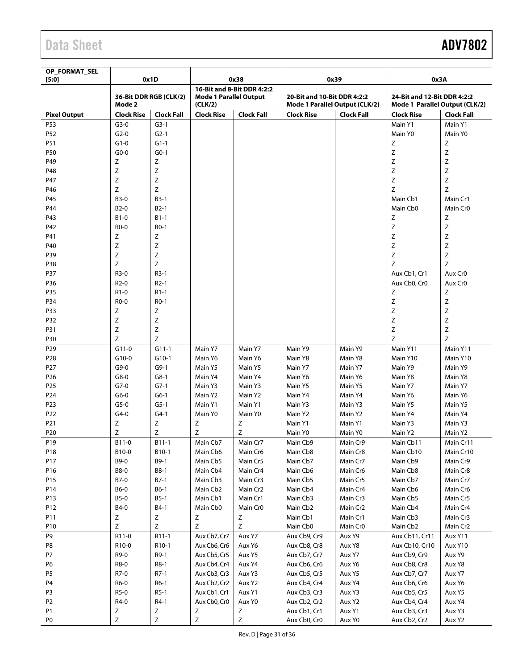| OP_FORMAT_SEL<br>[5:0] | 0x1D              |                        | 0x38                                     |                            | 0x39                                                          |                   | 0x3A                                                          |                     |
|------------------------|-------------------|------------------------|------------------------------------------|----------------------------|---------------------------------------------------------------|-------------------|---------------------------------------------------------------|---------------------|
|                        | Mode 2            | 36-Bit DDR RGB (CLK/2) | <b>Mode 1 Parallel Output</b><br>(CLK/2) | 16-Bit and 8-Bit DDR 4:2:2 | 20-Bit and 10-Bit DDR 4:2:2<br>Mode 1 Parallel Output (CLK/2) |                   | 24-Bit and 12-Bit DDR 4:2:2<br>Mode 1 Parallel Output (CLK/2) |                     |
| <b>Pixel Output</b>    | <b>Clock Rise</b> | <b>Clock Fall</b>      | <b>Clock Rise</b>                        | <b>Clock Fall</b>          | <b>Clock Rise</b>                                             | <b>Clock Fall</b> | <b>Clock Rise</b>                                             | <b>Clock Fall</b>   |
| P53                    | $G3-0$            | $G3-1$                 |                                          |                            |                                                               |                   | Main Y1                                                       | Main Y1             |
| P52                    | $G2-0$            | $G2-1$                 |                                          |                            |                                                               |                   | Main Y0                                                       | Main Y0             |
| P51                    | $G1-0$            | $G1-1$                 |                                          |                            |                                                               |                   | Ζ                                                             | Ζ                   |
| P50                    | $G0-0$            | $G0-1$                 |                                          |                            |                                                               |                   | Z                                                             | Ζ                   |
| P49                    | Ζ                 | Ζ                      |                                          |                            |                                                               |                   | Ζ                                                             | Z                   |
| P48                    | Ζ                 | Ζ                      |                                          |                            |                                                               |                   | Ζ                                                             | Ζ                   |
| P47                    | Ζ                 | Z                      |                                          |                            |                                                               |                   | Z                                                             | Z                   |
| P46                    | Ζ                 | Ζ                      |                                          |                            |                                                               |                   | Z                                                             | Z                   |
| P45                    | <b>B3-0</b>       | $B3-1$                 |                                          |                            |                                                               |                   | Main Cb1                                                      | Main Cr1            |
| P44                    | B <sub>2</sub> -0 | $B2-1$                 |                                          |                            |                                                               |                   | Main Cb0                                                      | Main Cr0            |
| P43                    | B1-0              | $B1-1$                 |                                          |                            |                                                               |                   | Ζ                                                             | Ζ                   |
| P42                    | <b>BO-0</b>       | $B0-1$                 |                                          |                            |                                                               |                   | Ζ                                                             | Ζ                   |
| P41                    | Ζ                 | Ζ                      |                                          |                            |                                                               |                   | Ζ                                                             | Ζ                   |
| P40                    | Ζ                 | Ζ                      |                                          |                            |                                                               |                   | Ζ                                                             | Ζ                   |
| P39                    | Ζ                 | Ζ                      |                                          |                            |                                                               |                   | Ζ                                                             | Z                   |
| P38                    | Ζ                 | Z                      |                                          |                            |                                                               |                   | Z                                                             | Ζ                   |
| P37                    | R3-0              | $R3-1$                 |                                          |                            |                                                               |                   | Aux Cb1, Cr1                                                  | Aux Cr <sub>0</sub> |
| P36                    | $R2-0$            | $R2-1$                 |                                          |                            |                                                               |                   | Aux Cb0, Cr0                                                  | Aux Cr0             |
| P35                    | R1-0              | $R1-1$                 |                                          |                            |                                                               |                   | Ζ                                                             | Ζ                   |
| P34                    | R <sub>0</sub> -0 | $RO-1$                 |                                          |                            |                                                               |                   | Ζ                                                             | Ζ                   |
| P33                    | Ζ                 | Ζ                      |                                          |                            |                                                               |                   | Ζ                                                             | Z                   |
| P32                    | Z                 | Ζ                      |                                          |                            |                                                               |                   | Ζ                                                             | Z                   |
| P31                    | Ζ                 | Ζ                      |                                          |                            |                                                               |                   | Ζ                                                             | Ζ                   |
| P30                    | Z                 | Z                      |                                          |                            |                                                               |                   | Z                                                             | Z                   |
| P29                    | $G11-0$           | $G11-1$                | Main Y7                                  | Main Y7                    | Main Y9                                                       | Main Y9           | Main Y11                                                      | Main Y11            |
| P <sub>28</sub>        | $G10-0$           | $G10-1$                | Main Y6                                  | Main Y6                    | Main Y8                                                       | Main Y8           | Main Y10                                                      | Main Y10            |
| P27                    | $G9-0$            | $G9-1$                 | Main Y5                                  | Main Y5                    | Main Y7                                                       | Main Y7           | Main Y9                                                       | Main Y9             |
| P <sub>26</sub>        | $G8-0$            | $G8-1$                 | Main Y4                                  | Main Y4                    | Main Y6                                                       | Main Y6           | Main Y8                                                       | Main Y8             |
| P <sub>25</sub>        | $G7-0$            | $G7-1$                 | Main Y3                                  | Main Y3                    | Main Y5                                                       | Main Y5           | Main Y7                                                       | Main Y7             |
| P24                    | $G6-0$            | $G6-1$                 | Main Y2                                  | Main Y2                    | Main Y4                                                       | Main Y4           | Main Y6                                                       | Main Y6             |
| P23                    | $G5-0$            | $G5-1$                 | Main Y1                                  | Main Y1                    | Main Y3                                                       | Main Y3           | Main Y5                                                       | Main Y5             |
| P22                    | $G4-0$            | $G4-1$                 | Main Y0                                  | Main Y0                    | Main Y2                                                       | Main Y2           | Main Y4                                                       | Main Y4             |
| P21                    | Ζ                 | Ζ                      | Ζ                                        | Ζ                          | Main Y1                                                       | Main Y1           | Main Y3                                                       | Main Y3             |
| P <sub>20</sub>        | Ζ                 | Ζ                      | Ζ                                        | Ζ                          | Main Y0                                                       | Main Y0           | Main Y2                                                       | Main Y2             |
| P <sub>19</sub>        | B11-0             | $B11-1$                | Main Cb7                                 | Main Cr7                   | Main Cb9                                                      | Main Cr9          | Main Cb11                                                     | Main Cr11           |
| P18                    | B10-0             | B10-1                  | Main Cb6                                 | Main Cr6                   | Main Cb8                                                      | Main Cr8          | Main Cb10                                                     | Main Cr10           |
| P17                    | B9-0              | B9-1                   | Main Cb5                                 | Main Cr5                   | Main Cb7                                                      | Main Cr7          | Main Cb9                                                      | Main Cr9            |
| P16                    | <b>B8-0</b>       | <b>B8-1</b>            | Main Cb4                                 | Main Cr4                   | Main Cb6                                                      | Main Cr6          | Main Cb8                                                      | Main Cr8            |
| P15                    | B7-0              | $B7-1$                 | Main Cb3                                 | Main Cr3                   | Main Cb5                                                      | Main Cr5          | Main Cb7                                                      | Main Cr7            |
| P14                    | B6-0              | $B6-1$                 | Main Cb <sub>2</sub>                     | Main Cr2                   | Main Cb4                                                      | Main Cr4          | Main Cb6                                                      | Main Cr6            |
| P13                    | <b>B5-0</b>       | $B5-1$                 | Main Cb1                                 | Main Cr1                   | Main Cb3                                                      | Main Cr3          | Main Cb5                                                      | Main Cr5            |
| P12                    | B4-0              | B4-1                   | Main Cb0                                 | Main Cr <sub>0</sub>       | Main Cb2                                                      | Main Cr2          | Main Cb4                                                      | Main Cr4            |
| P11                    | Z                 | Ζ                      | $\mathsf Z$                              | Z                          | Main Cb1                                                      | Main Cr1          | Main Cb3                                                      | Main Cr3            |
| P10                    | Ζ                 | Z                      | $\mathsf Z$                              | $\mathsf Z$                | Main Cb0                                                      | Main Cr0          | Main Cb2                                                      | Main Cr2            |
| P9                     | R11-0             | $R11-1$                | Aux Cb7, Cr7                             | Aux Y7                     | Aux Cb9, Cr9                                                  | Aux Y9            | Aux Cb11, Cr11                                                | Aux Y11             |
| P8                     | R10-0             | R10-1                  | Aux Cb6, Cr6                             | Aux Y6                     | Aux Cb8, Cr8                                                  | Aux Y8            | Aux Cb10, Cr10                                                | Aux Y10             |
| P7                     | R9-0              | R9-1                   | Aux Cb5, Cr5                             | Aux Y5                     | Aux Cb7, Cr7                                                  | Aux Y7            | Aux Cb9, Cr9                                                  | Aux Y9              |
| P <sub>6</sub>         | R8-0              | R8-1                   | Aux Cb4, Cr4                             | Aux Y4                     | Aux Cb6, Cr6                                                  | Aux Y6            | Aux Cb8, Cr8                                                  | Aux Y8              |
| P <sub>5</sub>         | R7-0              | $R7-1$                 | Aux Cb3, Cr3                             | Aux Y3                     | Aux Cb5, Cr5                                                  | Aux Y5            | Aux Cb7, Cr7                                                  | Aux Y7              |
| P <sub>4</sub>         | R6-0              | $R6-1$                 | Aux Cb2, Cr2                             | Aux Y2                     | Aux Cb4, Cr4                                                  | Aux Y4            | Aux Cb6, Cr6                                                  | Aux Y6              |
| P <sub>3</sub>         | R5-0              | $R5-1$                 | Aux Cb1, Cr1                             | Aux Y1                     | Aux Cb3, Cr3                                                  | Aux Y3            | Aux Cb5, Cr5                                                  | Aux Y5              |
| P <sub>2</sub>         | R4-0              | R4-1                   | Aux Cb0, Cr0                             | Aux Y0                     | Aux Cb2, Cr2                                                  | Aux Y2            | Aux Cb4, Cr4                                                  | Aux Y4              |
| P <sub>1</sub>         | Ζ                 | Ζ                      | Ζ                                        | Z                          | Aux Cb1, Cr1                                                  | Aux Y1            | Aux Cb3, Cr3                                                  | Aux Y3              |
| P <sub>0</sub>         | Ζ                 | Ζ                      | $\mathsf Z$                              | $\mathsf Z$                | Aux Cb0, Cr0                                                  | Aux Y0            | Aux Cb2, Cr2                                                  | Aux Y2              |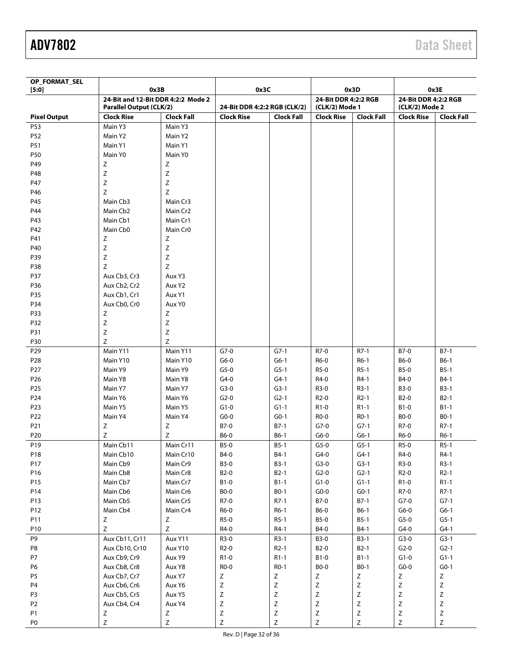| OP_FORMAT_SEL<br>[5:0] | 0x3B                                                                 |                   | 0x3C                         |                   | 0x3D                                   |                   |                                        | 0x3E              |
|------------------------|----------------------------------------------------------------------|-------------------|------------------------------|-------------------|----------------------------------------|-------------------|----------------------------------------|-------------------|
|                        | 24-Bit and 12-Bit DDR 4:2:2 Mode 2<br><b>Parallel Output (CLK/2)</b> |                   | 24-Bit DDR 4:2:2 RGB (CLK/2) |                   | 24-Bit DDR 4:2:2 RGB<br>(CLK/2) Mode 1 |                   | 24-Bit DDR 4:2:2 RGB<br>(CLK/2) Mode 2 |                   |
| <b>Pixel Output</b>    | <b>Clock Rise</b>                                                    | <b>Clock Fall</b> | <b>Clock Rise</b>            | <b>Clock Fall</b> | <b>Clock Rise</b>                      | <b>Clock Fall</b> | <b>Clock Rise</b>                      | <b>Clock Fall</b> |
| P53                    | Main Y3                                                              | Main Y3           |                              |                   |                                        |                   |                                        |                   |
| P52                    | Main Y2                                                              | Main Y2           |                              |                   |                                        |                   |                                        |                   |
| P51                    | Main Y1                                                              | Main Y1           |                              |                   |                                        |                   |                                        |                   |
| P50                    | Main Y0                                                              | Main Y0           |                              |                   |                                        |                   |                                        |                   |
| P49                    | Z                                                                    | Ζ                 |                              |                   |                                        |                   |                                        |                   |
| P48                    | Ζ                                                                    | $\mathsf Z$       |                              |                   |                                        |                   |                                        |                   |
| P47                    | Z                                                                    | $\mathsf Z$       |                              |                   |                                        |                   |                                        |                   |
| P46                    | Z                                                                    | $\mathsf Z$       |                              |                   |                                        |                   |                                        |                   |
| P45                    | Main Cb3                                                             | Main Cr3          |                              |                   |                                        |                   |                                        |                   |
| P44                    | Main Cb <sub>2</sub>                                                 | Main Cr2          |                              |                   |                                        |                   |                                        |                   |
| P43                    | Main Cb1                                                             | Main Cr1          |                              |                   |                                        |                   |                                        |                   |
| P42                    | Main Cb0                                                             | Main Cr0          |                              |                   |                                        |                   |                                        |                   |
| P41                    | Ζ                                                                    | Ζ                 |                              |                   |                                        |                   |                                        |                   |
| P40                    | Ζ                                                                    | $\mathsf Z$       |                              |                   |                                        |                   |                                        |                   |
| P39                    | Ζ                                                                    | $\mathsf Z$       |                              |                   |                                        |                   |                                        |                   |
| P38                    | Z                                                                    | $\mathsf Z$       |                              |                   |                                        |                   |                                        |                   |
| P37                    | Aux Cb3, Cr3                                                         | Aux Y3            |                              |                   |                                        |                   |                                        |                   |
| P36                    | Aux Cb2, Cr2                                                         | Aux Y2            |                              |                   |                                        |                   |                                        |                   |
| P35                    | Aux Cb1, Cr1                                                         | Aux Y1            |                              |                   |                                        |                   |                                        |                   |
| P34                    | Aux Cb0, Cr0                                                         | Aux Y0            |                              |                   |                                        |                   |                                        |                   |
| P33                    | Z                                                                    | Z                 |                              |                   |                                        |                   |                                        |                   |
| P32                    | Ζ                                                                    | $\mathsf Z$       |                              |                   |                                        |                   |                                        |                   |
| P31                    | Z                                                                    | $\mathsf Z$       |                              |                   |                                        |                   |                                        |                   |
| P30                    | Ζ                                                                    | Z                 |                              |                   |                                        |                   |                                        |                   |
| P29                    | Main Y11                                                             | Main Y11          | $G7-0$                       | $G7-1$            | R7-0                                   | $R7-1$            | B7-0                                   | $B7-1$            |
| P <sub>28</sub>        | Main Y10                                                             | Main Y10          | $G6-0$                       | $G6-1$            | R6-0                                   | $R6-1$            | B6-0                                   | $B6-1$            |
| P <sub>27</sub>        | Main Y9                                                              | Main Y9           | $G5-0$                       | $G5-1$            | R5-0                                   | $R5-1$            | <b>B5-0</b>                            | $B5-1$            |
| P <sub>26</sub>        | Main Y8                                                              | Main Y8           | $G4-0$                       | $G4-1$            | R4-0                                   | $R4-1$            | B4-0                                   | $B4-1$            |
| P <sub>25</sub>        | Main Y7                                                              | Main Y7           | $G3-0$                       | $G3-1$            | R3-0                                   | $R3-1$            | <b>B3-0</b>                            | $B3-1$            |
| P <sub>24</sub>        | Main Y6                                                              | Main Y6           | $G2-0$                       | $G2-1$            | $R2-0$                                 | $R2-1$            | B2-0                                   | $B2-1$            |
| P23                    | Main Y5                                                              | Main Y5           | $G1-0$                       | $G1-1$            | R1-0                                   | $R1-1$            | B1-0                                   | $B1-1$            |
|                        |                                                                      |                   |                              |                   |                                        |                   |                                        |                   |
| P22                    | Main Y4                                                              | Main Y4           | $G_0-0$                      | $G0-1$            | R0-0                                   | R0-1              | <b>BO-0</b>                            | $B0-1$<br>$R7-1$  |
| P21                    | Ζ<br>Z                                                               | Ζ<br>Z            | B7-0                         | $B7-1$            | $G7-0$                                 | $G7-1$            | R7-0                                   |                   |
| P20                    |                                                                      |                   | <b>B6-0</b>                  | $B6-1$            | $G6-0$                                 | $G6-1$            | R6-0                                   | $R6-1$            |
| P19                    | Main Cb11                                                            | Main Cr11         | <b>B5-0</b>                  | $B5-1$            | $G5-0$                                 | $G5-1$            | R5-0                                   | $R5-1$            |
| P18                    | Main Cb10                                                            | Main Cr10         | B4-0                         | B4-1              | $G4-0$                                 | $G4-1$            | R4-0                                   | $R4-1$            |
| P17                    | Main Cb9                                                             | Main Cr9          | <b>B3-0</b>                  | $B3-1$            | $G3-0$                                 | $G3-1$            | R3-0                                   | $R3-1$            |
| P16                    | Main Cb8                                                             | Main Cr8          | <b>B2-0</b>                  | $B2-1$            | $G2-0$                                 | $G2-1$            | $R2-0$                                 | $R2-1$            |
| P15                    | Main Cb7                                                             | Main Cr7          | $B1-0$                       | $B1-1$            | $G1-0$                                 | $G1-1$            | $R1-0$                                 | $R1-1$            |
| P14                    | Main Cb6                                                             | Main Cr6          | <b>BO-0</b>                  | <b>BO-1</b>       | $G0-0$                                 | $G0-1$            | R7-0                                   | $R7-1$            |
| P13                    | Main Cb5                                                             | Main Cr5          | R7-0                         | $R7-1$            | B7-0                                   | $B7-1$            | $G7-0$                                 | $G7-1$            |
| P12                    | Main Cb4                                                             | Main Cr4          | R6-0                         | $R6-1$            | B6-0                                   | B6-1              | $G6-0$                                 | $G6-1$            |
| P11                    | Z                                                                    | Ζ                 | R5-0                         | $R5-1$            | <b>B5-0</b>                            | $B5-1$            | $G5-0$                                 | $G5-1$            |
| P <sub>10</sub>        | Z                                                                    | Z                 | R4-0                         | R4-1              | B4-0                                   | $B4-1$            | $G4-0$                                 | $G4-1$            |
| P9                     | Aux Cb11, Cr11                                                       | Aux Y11           | R3-0                         | $R3-1$            | <b>B3-0</b>                            | $B3-1$            | $G3-0$                                 | $G3-1$            |
| P8                     | Aux Cb10, Cr10                                                       | Aux Y10           | $R2-0$                       | $R2-1$            | <b>B2-0</b>                            | $B2-1$            | $G2-0$                                 | $G2-1$            |
| P7                     | Aux Cb9, Cr9                                                         | Aux Y9            | $R1-0$                       | $R1-1$            | $B1-0$                                 | $B1-1$            | $G1-0$                                 | $G1-1$            |
| P6                     | Aux Cb8, Cr8                                                         | Aux Y8            | R0-0                         | $RO-1$            | <b>BO-0</b>                            | <b>BO-1</b>       | $G0-0$                                 | $G0-1$            |
| <b>P5</b>              | Aux Cb7, Cr7                                                         | Aux Y7            | Z                            | $\mathsf Z$       | Ζ                                      | Ζ                 | Ζ                                      | $\mathsf Z$       |
| P <sub>4</sub>         | Aux Cb6, Cr6                                                         | Aux Y6            | $\mathsf Z$                  | $\mathsf Z$       | Ζ                                      | $\mathsf Z$       | $\mathsf Z$                            | $\mathsf Z$       |
| P <sub>3</sub>         | Aux Cb5, Cr5                                                         | Aux Y5            | Z                            | $\mathsf Z$       | Ζ                                      | Z                 | Ζ                                      | $\mathsf Z$       |
| P <sub>2</sub>         | Aux Cb4, Cr4                                                         | Aux Y4            | $\mathsf Z$                  | $\mathsf Z$       | Z                                      | $\mathsf Z$       | $\mathsf Z$                            | $\mathsf Z$       |
| P1                     | Z                                                                    | Z                 | $\mathsf Z$                  | $\mathsf Z$       | $\mathsf Z$                            | $\mathsf Z$       | $\mathsf Z$                            | $\mathsf Z$       |
| P <sub>0</sub>         | $\mathsf Z$                                                          | $\mathsf Z$       | $\mathsf Z$                  | $\mathsf Z$       | $\mathsf Z$                            | $\mathsf Z$       | $\mathsf Z$                            | $\mathsf Z$       |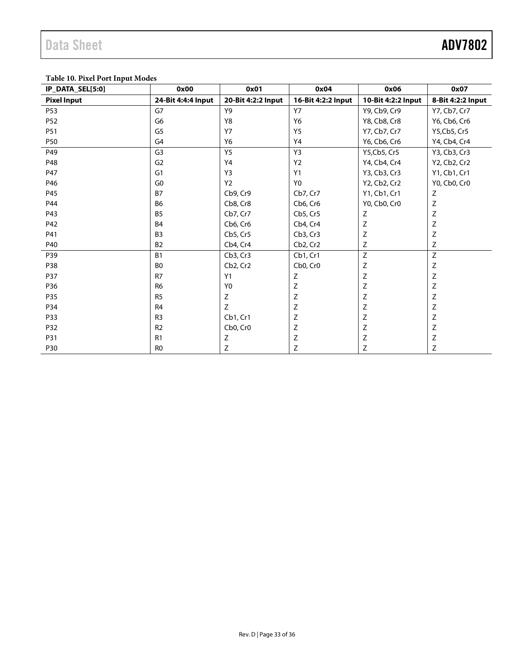#### **Table 10. Pixel Port Input Modes**

| IP DATA SEL[5:0]   | 0x00               | 0x01               | 0x04                              | 0x06               | 0x07              |
|--------------------|--------------------|--------------------|-----------------------------------|--------------------|-------------------|
| <b>Pixel Input</b> | 24-Bit 4:4:4 Input | 20-Bit 4:2:2 Input | 16-Bit 4:2:2 Input                | 10-Bit 4:2:2 Input | 8-Bit 4:2:2 Input |
| P <sub>53</sub>    | G7                 | Y9                 | <b>Y7</b>                         | Y9, Cb9, Cr9       | Y7, Cb7, Cr7      |
| P52                | G6                 | Y8                 | Y6                                | Y8, Cb8, Cr8       | Y6, Cb6, Cr6      |
| P51                | G5                 | <b>Y7</b>          | <b>Y5</b>                         | Y7, Cb7, Cr7       | Y5, Cb5, Cr5      |
| <b>P50</b>         | G <sub>4</sub>     | Y6                 | Y4                                | Y6, Cb6, Cr6       | Y4, Cb4, Cr4      |
| P49                | G <sub>3</sub>     | Y5                 | Y3                                | Y5, Cb5, Cr5       | Y3, Cb3, Cr3      |
| P48                | G <sub>2</sub>     | Y4                 | Y <sub>2</sub>                    | Y4, Cb4, Cr4       | Y2, Cb2, Cr2      |
| P47                | G1                 | Y3                 | Y1                                | Y3, Cb3, Cr3       | Y1, Cb1, Cr1      |
| P46                | G <sub>0</sub>     | Y <sub>2</sub>     | Y <sub>0</sub>                    | Y2, Cb2, Cr2       | Y0, Cb0, Cr0      |
| P45                | <b>B7</b>          | Cb9, Cr9           | Cb7, Cr7                          | Y1, Cb1, Cr1       | Z                 |
| P44                | <b>B6</b>          | Cb8, Cr8           | Cb6, Cr6                          | Y0, Cb0, Cr0       | $\mathsf Z$       |
| P43                | <b>B5</b>          | Cb7, Cr7           | Cb5, Cr5                          | Ζ                  | $\mathsf Z$       |
| P42                | <b>B4</b>          | Cb6, Cr6           | Cb4, Cr4                          | Ζ                  | Z                 |
| P41                | B <sub>3</sub>     | Cb5, Cr5           | Cb3, Cr3                          | $\mathsf Z$        | Z                 |
| P40                | <b>B2</b>          | Cb4, Cr4           | Cb2, Cr2                          | Z                  | Z                 |
| P39                | <b>B1</b>          | Cb3, Cr3           | Cb1, Cr1                          | Z                  | Z                 |
| P38                | B <sub>0</sub>     | Cb2, Cr2           | Cb <sub>0</sub> , Cr <sub>0</sub> | $\mathsf Z$        | $\mathsf Z$       |
| <b>P37</b>         | R7                 | Y1                 | $\mathsf Z$                       | $\mathsf Z$        | $\mathsf Z$       |
| P36                | R <sub>6</sub>     | Y <sub>0</sub>     | Z                                 | $\mathsf Z$        | $\mathsf Z$       |
| P35                | R <sub>5</sub>     | Ζ                  | Ζ                                 | $\mathsf Z$        | Z                 |
| P34                | R <sub>4</sub>     | Z                  | $\mathsf Z$                       | Ζ                  | $\mathsf Z$       |
| P33                | R <sub>3</sub>     | Cb1. Cr1           | Z                                 | Ζ                  | $\mathsf Z$       |
| P32                | R <sub>2</sub>     | Cb0, Cr0           | Ζ                                 | Z                  | Z                 |
| P31                | R1                 | $\mathsf Z$        | Ζ                                 | $\mathsf Z$        | $\mathsf Z$       |
| <b>P30</b>         | R <sub>0</sub>     | Ζ                  | Ζ                                 | Ζ                  | Z                 |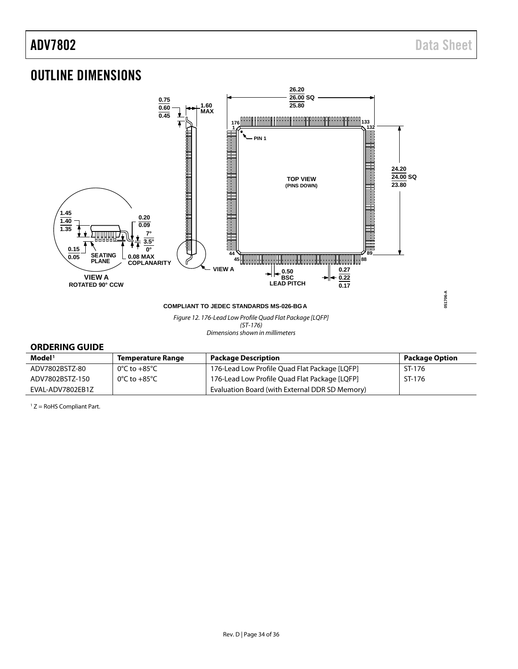<span id="page-33-0"></span>

#### <span id="page-33-1"></span>**ORDERING GUIDE**

| Model <sup>1</sup> | Temperature Range | <b>Package Description</b>                     | <b>Package Option</b> |
|--------------------|-------------------|------------------------------------------------|-----------------------|
| ADV7802BSTZ-80     | 0°C to +85°C      | 176-Lead Low Profile Quad Flat Package [LQFP]  | ST-176                |
| ADV7802BSTZ-150    | 0°C to +85°C      | 176-Lead Low Profile Quad Flat Package [LQFP]  | ST-176                |
| EVAL-ADV7802EB1Z   |                   | Evaluation Board (with External DDR SD Memory) |                       |

 $1 Z =$  RoHS Compliant Part.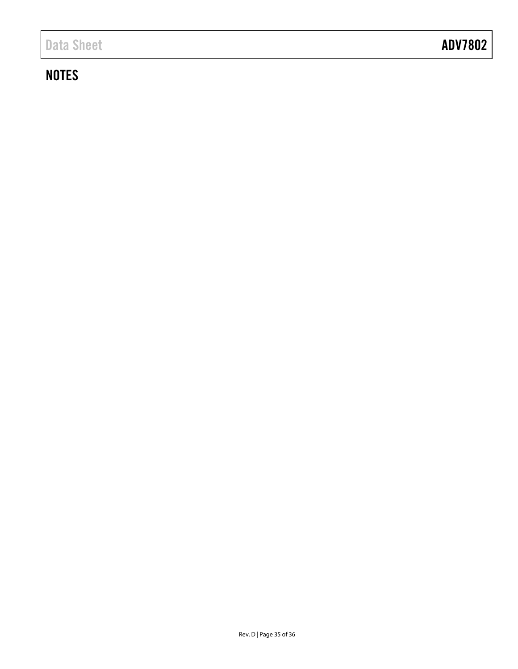# **NOTES**